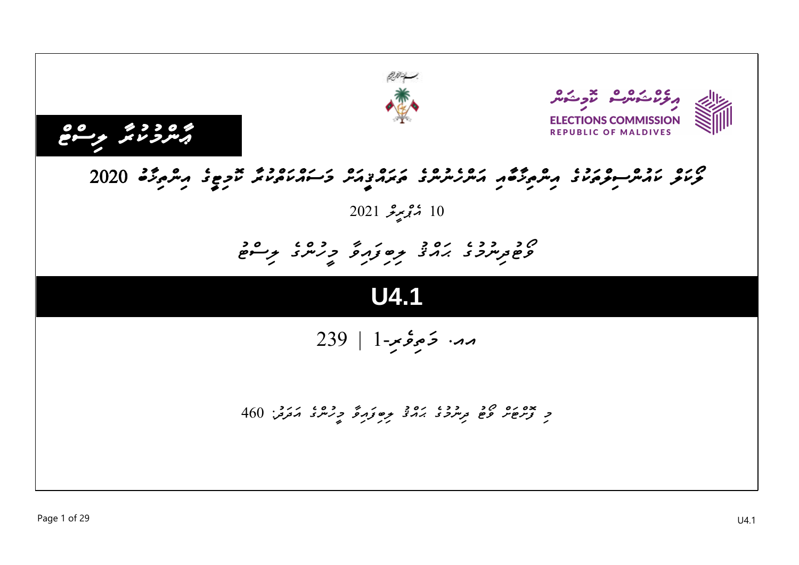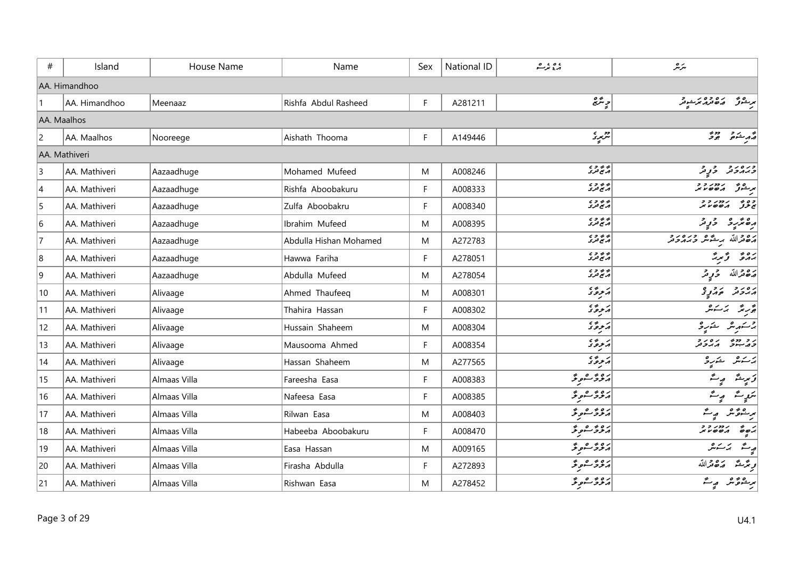| #               | Island        | House Name   | Name                   | Sex         | National ID | ، ه ، بر <u>م</u>                      | ىئرىتر                          |
|-----------------|---------------|--------------|------------------------|-------------|-------------|----------------------------------------|---------------------------------|
|                 | AA. Himandhoo |              |                        |             |             |                                        |                                 |
|                 | AA. Himandhoo | Meenaaz      | Rishfa Abdul Rasheed   | $\mathsf F$ | A281211     | جرىترچ                                 | ىرىشى ئەم مەھەر <i>مەش</i> ىقر  |
|                 | AA. Maalhos   |              |                        |             |             |                                        |                                 |
| 2               | AA. Maalhos   | Nooreege     | Aishath Thooma         | $\mathsf F$ | A149446     | دو<br>مترسوري                          | أحدث وديم                       |
|                 | AA. Mathiveri |              |                        |             |             |                                        |                                 |
| 3               | AA. Mathiveri | Aazaadhuge   | Mohamed Mufeed         | ${\sf M}$   | A008246     | ږ د د د<br>پر پم تر پ                  | ورەرو ورو                       |
| $\overline{4}$  | AA. Mathiveri | Aazaadhuge   | Rishfa Aboobakuru      | F           | A008333     | ږ د د د<br>پر پخ تور                   | 777777007                       |
| 5               | AA. Mathiveri | Aazaadhuge   | Zulfa Aboobakru        | F           | A008340     | ږ د د د<br>پر پخ تور                   | 77/200<br>وە پە<br>ئى ترىق      |
| $6\overline{6}$ | AA. Mathiveri | Aazaadhuge   | Ibrahim Mufeed         | M           | A008395     | ا پر بر و بر<br>اور پنج تعری           | رە ئرىر ئىزىد                   |
| 7               | AA. Mathiveri | Aazaadhuge   | Abdulla Hishan Mohamed | M           | A272783     | ه به و بر<br>م مخ تر پ                 | ره والله برخور ورورد            |
| 8               | AA. Mathiveri | Aazaadhuge   | Hawwa Fariha           | F           | A278051     | ه به و بر<br>م مخ تر پ                 | برەۋ ئەبرىگ                     |
| 9               | AA. Mathiveri | Aazaadhuge   | Abdulla Mufeed         | M           | A278054     | ږ د د د<br>د پخ تر پ                   | پره ترالله څوپه                 |
| 10              | AA. Mathiveri | Alivaage     | Ahmed Thaufeeq         | M           | A008301     | ەزجەنى                                 | ג פיג פיג פי<br>ג ג ביג פ ג קיב |
| 11              | AA. Mathiveri | Alivaage     | Thahira Hassan         | F           | A008302     | پەنوچ                                  | ۇرىگە ئەسكىل                    |
| 12              | AA. Mathiveri | Alivaage     | Hussain Shaheem        | M           | A008304     | پەنوچ                                  | چە سەر ھەر ئەيدۇ                |
| $ 13\rangle$    | AA. Mathiveri | Alivaage     | Mausooma Ahmed         | F           | A008354     | ەزىرە ئ                                | נכחוב נסנכ<br>כבי-יכ"ר גלבת     |
| 14              | AA. Mathiveri | Alivaage     | Hassan Shaheem         | M           | A277565     | پر پر پر<br>  پر پر پر پ               |                                 |
| 15              | AA. Mathiveri | Almaas Villa | Fareesha Easa          | F           | A008383     | روۋىشورۇ                               | تر پرېند په په                  |
| 16              | AA. Mathiveri | Almaas Villa | Nafeesa Easa           | F           | A008385     | <br> پروگر ش <sub>مو</sub> گر          | سَرِے پِے                       |
| 17              | AA. Mathiveri | Almaas Villa | Rilwan Easa            | M           | A008403     | ئەغرى <sup>ق</sup> س <sup>ى</sup> موقە | برخوش پرځ                       |
| 18              | AA. Mathiveri | Almaas Villa | Habeeba Aboobakuru     | F           | A008470     | رەپ ھوڭر                               | $77/20$<br>xvoor 601            |
| 19              | AA. Mathiveri | Almaas Villa | Easa Hassan            | M           | A009165     | ىر <i>ۋۇ</i> سىموقە                    | ړئے پر ټری                      |
| 20              | AA. Mathiveri | Almaas Villa | Firasha Abdulla        | F           | A272893     | روتۇشورۇ                               | مرِعَرْثَہُ صَدَّدَاللّٰہ       |
| 21              | AA. Mathiveri | Almaas Villa | Rishwan Easa           | M           | A278452     | ىر <i>ۋ</i> ېۋىس قەر                   | مرےوشر پرتے                     |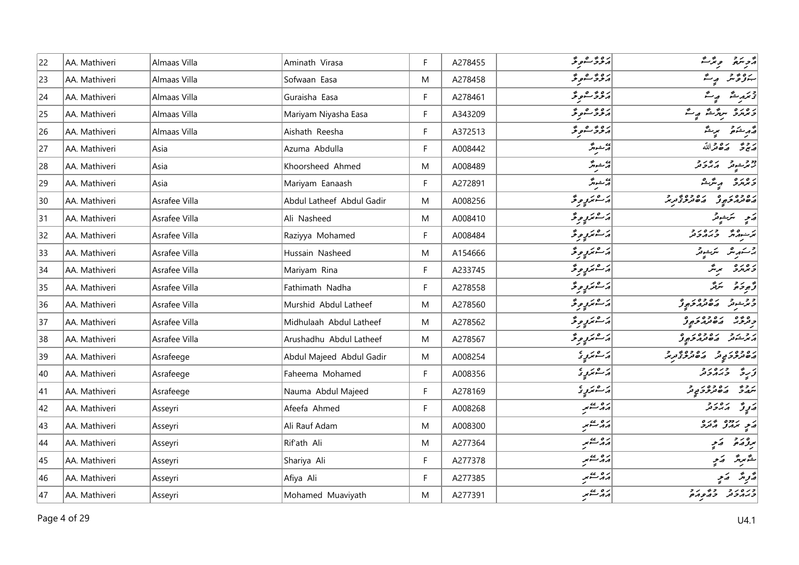| 22 | AA. Mathiveri | Almaas Villa  | Aminath Virasa            | F           | A278455 | روۋىشورۇ                                  | أزجر ستعر وبترت                               |
|----|---------------|---------------|---------------------------|-------------|---------|-------------------------------------------|-----------------------------------------------|
| 23 | AA. Mathiveri | Almaas Villa  | Sofwaan Easa              | M           | A278458 | رَءُ وَّ سُفْوِقَر                        | بەۋرۇش پەت                                    |
| 24 | AA. Mathiveri | Almaas Villa  | Guraisha Easa             | $\mathsf F$ | A278461 | روۇشور                                    | تونىدىشە رېڭە                                 |
| 25 | AA. Mathiveri | Almaas Villa  | Mariyam Niyasha Easa      | F           | A343209 | رەپچە شەھ ئۇ                              | د ورو سرگت پرگ                                |
| 26 | AA. Mathiveri | Almaas Villa  | Aishath Reesha            | $\mathsf F$ | A372513 | روپۇ سىموقە                               |                                               |
| 27 | AA. Mathiveri | Asia          | Azuma Abdulla             | F           | A008442 | مؤسفيورشر                                 | أصبح وكالمته                                  |
| 28 | AA. Mathiveri | Asia          | Khoorsheed Ahmed          | M           | A008489 | ان<br>انگست<br>ک                          | الزبر شوتر كم بروتر                           |
| 29 | AA. Mathiveri | Asia          | Mariyam Eanaash           | F           | A272891 | پر ھودگر                                  | دەرە پەتگى                                    |
| 30 | AA. Mathiveri | Asrafee Villa | Abdul Latheef Abdul Gadir | ${\sf M}$   | A008256 | رَسْءَ بَرَوٍ ءِ تَرُ                     | גם כסגם הספרטי בית ב<br>הסטרת תוכן הסטרת בעיד |
| 31 | AA. Mathiveri | Asrafee Villa | Ali Nasheed               | M           | A008410 | رئەسىر ئەمۇ                               | أوكتمح المتكرشوقر                             |
| 32 | AA. Mathiveri | Asrafee Villa | Raziyya Mohamed           | F           | A008484 | لەشقىدۇرۇ                                 | 77077 2007                                    |
| 33 | AA. Mathiveri | Asrafee Villa | Hussain Nasheed           | M           | A154666 | لەشقىمۇرىۋ                                | رح کے مریش اسکر کے مقدم                       |
| 34 | AA. Mathiveri | Asrafee Villa | Mariyam Rina              | F           | A233745 | <br>  د شوند پوه د د                      | د ۱۵ ده په مېرنگر                             |
| 35 | AA. Mathiveri | Asrafee Villa | Fathimath Nadha           | $\mathsf F$ | A278558 | ىز س <sup>ە</sup> ئىزى <sub>ر جە</sub> ئە | قەدە ئىگە                                     |
| 36 | AA. Mathiveri | Asrafee Villa | Murshid Abdul Latheef     | M           | A278560 | لەستىمۇ ھەمچە                             | ووجود ره وه دره و                             |
| 37 | AA. Mathiveri | Asrafee Villa | Midhulaah Abdul Latheef   | ${\sf M}$   | A278562 | رَ سْنَ مَدَوٍ ء مَّرَ                    | ومرتوبه ماه وه د مور                          |
| 38 | AA. Mathiveri | Asrafee Villa | Arushadhu Abdul Latheef   | M           | A278567 | رَ سْ مَدَرٍ هِ مَّهِ                     | ر و در و ده وه در و                           |
| 39 | AA. Mathiveri | Asrafeege     | Abdul Majeed Abdul Gadir  | M           | A008254 | ر مشمئر پر ڈ                              | ره وه ر و مره وه ور د<br>مەمروگە پەھەر ئ      |
| 40 | AA. Mathiveri | Asrafeege     | Faheema Mohamed           | F           | A008356 | ئەسشە ئىرىپى ئە                           | أذرِرْ وبرورو                                 |
| 41 | AA. Mathiveri | Asrafeege     | Nauma Abdul Majeed        | F           | A278169 | ئەسىمبۇ ئە                                | ر و ده ده وه د و                              |
| 42 | AA. Mathiveri | Asseyri       | Afeefa Ahmed              | $\mathsf F$ | A008268 | لهرهر يحيميه                              | أړَ پِه د د د د                               |
| 43 | AA. Mathiveri | Asseyri       | Ali Rauf Adam             | ${\sf M}$   | A008300 | لئەۋسىئىمىر                               | ביש החדם המים                                 |
| 44 | AA. Mathiveri | Asseyri       | Rif'ath Ali               | ${\sf M}$   | A277364 | لئەۋستىمىر                                | بروژه ته در د                                 |
| 45 | AA. Mathiveri | Asseyri       | Shariya Ali               | F           | A277378 | لره يهمبر                                 | شمرش كمو                                      |
| 46 | AA. Mathiveri | Asseyri       | Afiya Ali                 | F           | A277385 | لئەھرىئىمىر                               | ة وقر الأجا                                   |
| 47 | AA. Mathiveri | Asseyri       | Mohamed Muaviyath         | ${\sf M}$   | A277391 | لئەرىئىمر                                 |                                               |
|    |               |               |                           |             |         |                                           |                                               |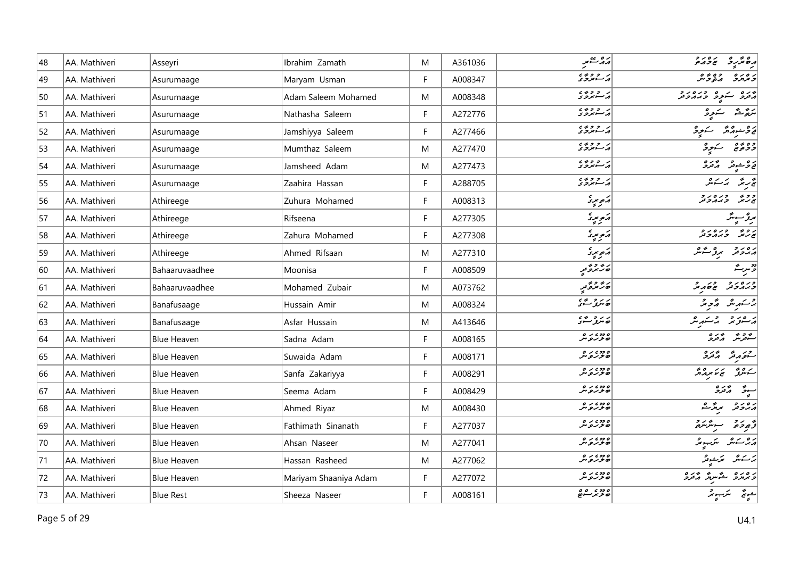| 48 | AA. Mathiveri | Asseyri            | Ibrahim Zamath        | M  | A361036 | لره يهمبر                          | 51010                                         |
|----|---------------|--------------------|-----------------------|----|---------|------------------------------------|-----------------------------------------------|
| 49 | AA. Mathiveri | Asurumaage         | Maryam Usman          | F. | A008347 | ر و و » ،<br>د سه برو د            | ره ره ده ده و                                 |
| 50 | AA. Mathiveri | Asurumaage         | Adam Saleem Mohamed   | M  | A008348 | بر و و » »<br>پرسته پوری           | وره کود دیرورد                                |
| 51 | AA. Mathiveri | Asurumaage         | Nathasha Saleem       | F  | A272776 | ر و و د »<br>پرستوری               | سَرَةً حَسَّرَ<br>سنوود                       |
| 52 | AA. Mathiveri | Asurumaage         | Jamshiyya Saleem      | F  | A277466 | بر و و » »<br>پرسته پوری           | سنهود<br>ر و <sub>شو</sub> ر مر<br>م          |
| 53 | AA. Mathiveri | Asurumaage         | Mumthaz Saleem        | M  | A277470 | ر د د د ،                          | سەَموِرْ                                      |
| 54 | AA. Mathiveri | Asurumaage         | Jamsheed Adam         | M  | A277473 | ر و و و و و<br>پر سونورۍ           | ق ئ شيوتر   مركز قر                           |
| 55 | AA. Mathiveri | Asurumaage         | Zaahira Hassan        | F  | A288705 | ر د د د ،                          | تجربتى الماسكانكى                             |
| 56 | AA. Mathiveri | Athireege          | Zuhura Mohamed        | F  | A008313 | ړ<br>مرموسو                        | و و پر<br>سی سر<br>و ره ر و<br>تر پروتر       |
| 57 | AA. Mathiveri | Athireege          | Rifseena              | F  | A277305 | ر<br>د حومور                       | ىر ۋېسەنگە                                    |
| 58 | AA. Mathiveri | Athireege          | Zahura Mohamed        | F. | A277308 | ر<br>د حومور                       | 77973 278                                     |
| 59 | AA. Mathiveri | Athireege          | Ahmed Rifsaan         | M  | A277310 | ر<br>د حومور                       | ىر ئۇ شەنئىر<br>بر 2 د ج<br>م <i>.بر</i> 5 مر |
| 60 | AA. Mathiveri | Bahaaruvaadhee     | Moonisa               | F  | A008509 | ر پر وي <sub>ج</sub>               | ده سربسته<br>مر                               |
| 61 | AA. Mathiveri | Bahaaruvaadhee     | Mohamed Zubair        | M  | A073762 | ە ئەترەڭ بېر                       | כנסנכ כנג                                     |
| 62 | AA. Mathiveri | Banafusaage        | Hussain Amir          | M  | A008324 | ر رو و و ،                         | يز سكر شر الأثر مركز                          |
| 63 | AA. Mathiveri | Banafusaage        | Asfar Hussain         | M  | A413646 | پر پر دیږي<br>ت <i>خ</i> سرگو ستري | أرورو برسكهد                                  |
| 64 | AA. Mathiveri | <b>Blue Heaven</b> | Sadna Adam            | F  | A008165 | ه دو ، ر ه<br><i>ه مور و</i> س     |                                               |
| 65 | AA. Mathiveri | <b>Blue Heaven</b> | Suwaida Adam          | F. | A008171 | ه دوی ر ه<br><i>ه مور</i> ه مگ     | شوكر مدرد                                     |
| 66 | AA. Mathiveri | <b>Blue Heaven</b> | Sanfa Zakariyya       | F. | A008291 | ه دوی ر ه<br><i>ه مور</i> و س      | ستعلل تماسم المجمع                            |
| 67 | AA. Mathiveri | <b>Blue Heaven</b> | Seema Adam            | F  | A008429 | ه دد › ر ه<br>ح تر ر عر            | سېۋە ئەترو                                    |
| 68 | AA. Mathiveri | <b>Blue Heaven</b> | Ahmed Riyaz           | M  | A008430 | ه دو ، ر ه<br><i>ه مور و</i> س     | رەرو بروگ                                     |
| 69 | AA. Mathiveri | <b>Blue Heaven</b> | Fathimath Sinanath    | F  | A277037 | ه دد پ ر<br>ح <i>ور و</i> س        | توجوخوا سوسرسر                                |
| 70 | AA. Mathiveri | <b>Blue Heaven</b> | Ahsan Naseer          | M  | A277041 | ه دو، ر ه<br><i>ه ور</i> و س       | روك مكابيرة                                   |
| 71 | AA. Mathiveri | <b>Blue Heaven</b> | Hassan Rasheed        | M  | A277062 | ه دو ، ر ه<br><i>ه نور و</i> س     | يرسكانكر التماشية فكر                         |
| 72 | AA. Mathiveri | <b>Blue Heaven</b> | Mariyam Shaaniya Adam | F  | A277072 | ه دو ، ر ه<br><i>ه و ر ه</i> س     | روره<br><i>دیگرد</i> شهر گر                   |
| 73 | AA. Mathiveri | <b>Blue Rest</b>   | Sheeza Naseer         | F  | A008161 | ە دە يەرە<br>ھىرىرىسوغ             | ينبونج - مترسونتر                             |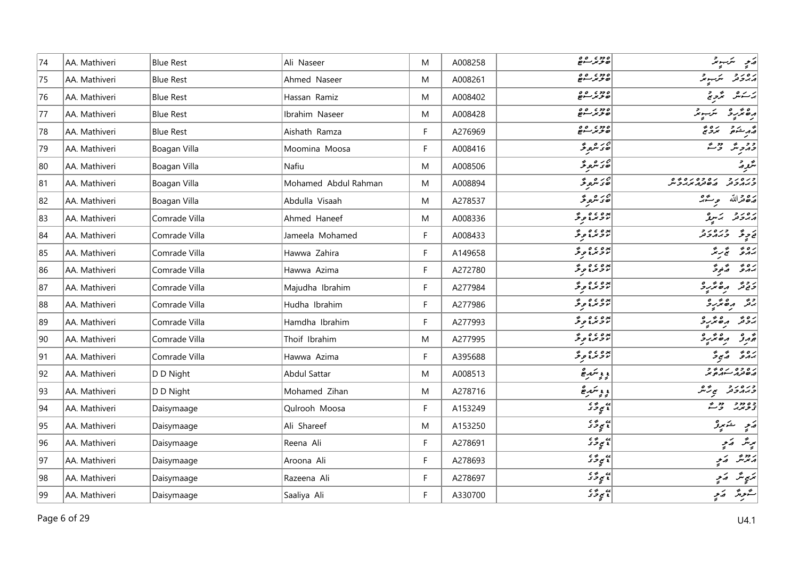| 74 | AA. Mathiveri | <b>Blue Rest</b> | Ali Naseer           | M         | A008258 | ه دو د ده ه<br>حو مر سرچ            | ړې سربېږي<br>مو                                                                                    |
|----|---------------|------------------|----------------------|-----------|---------|-------------------------------------|----------------------------------------------------------------------------------------------------|
| 75 | AA. Mathiveri | <b>Blue Rest</b> | Ahmed Naseer         | M         | A008261 | ە دە يەرە<br>ھۆبىرىسىۋە             | بروبر و<br>ىئرىبەنز                                                                                |
| 76 | AA. Mathiveri | <b>Blue Rest</b> | Hassan Ramiz         | M         | A008402 | ە دە بەرە<br>ھەمەسەھ                | بزسەيىتىر<br>پر د م<br>مرد م                                                                       |
| 77 | AA. Mathiveri | <b>Blue Rest</b> | Ibrahim Naseer       | M         | A008428 | ە دە يەرە<br>ھىرىرىسوغ              | ە ھەترىر <sup>ە</sup><br>ىئرىبەنچە                                                                 |
| 78 | AA. Mathiveri | <b>Blue Rest</b> | Aishath Ramza        | F         | A276969 | ە دە يەرە<br>ھىرىرىسى               | د مر شوه<br>د کر شوه<br>ر ه و.<br>برد بع                                                           |
| 79 | AA. Mathiveri | Boagan Villa     | Moomina Moosa        | F         | A008416 | 2 ئەش <sub>ھې</sub> ئە              | وړېږمتر<br>دريمه                                                                                   |
| 80 | AA. Mathiveri | Boagan Villa     | Nafiu                | M         | A008506 | 0 ره ه<br>  0 د سر <sub>حو</sub> مو | مٿرو <sup>م</sup>                                                                                  |
| 81 | AA. Mathiveri | Boagan Villa     | Mohamed Abdul Rahman | ${\sf M}$ | A008894 | 2 كەشھ <b>رى</b> تە                 | ر ٥ ۶ ٥ ٥ ٥ ٥ ٩<br>۵ ۰ ۵ مرد مربر <del>و</del> س<br>و ر ه ر و<br><del>و</del> بر پر <del>و</del> ر |
| 82 | AA. Mathiveri | Boagan Villa     | Abdulla Visaah       | ${\sf M}$ | A278537 | 2 ئەشر <i>و</i> م <sup>ۇ</sup>      | ە رىشىر<br>صقعرالله                                                                                |
| 83 | AA. Mathiveri | Comrade Villa    | Ahmed Haneef         | M         | A008336 | پره ی ه ه و څه                      | أرودة أرسية                                                                                        |
| 84 | AA. Mathiveri | Comrade Villa    | Jameela Mohamed      | F         | A008433 | بره ، ه ه و گر                      | و ر ه ر و<br>ح پرو تر<br>ر<br>يح <sub>حي</sub> مخر                                                 |
| 85 | AA. Mathiveri | Comrade Villa    | Hawwa Zahira         | F         | A149658 | پروېږي و ځه                         | برەپچ<br>ىتى سەتتىر                                                                                |
| 86 | AA. Mathiveri | Comrade Villa    | Hawwa Azima          | F         | A272780 | بره ، ه ه و څه<br>پرې د بوڅ         | برە پىج<br>وشفوقر                                                                                  |
| 87 | AA. Mathiveri | Comrade Villa    | Majudha Ibrahim      | F         | A277984 | پره ی ه ه و څه                      | ەھ ئۆر ۋ<br>ر و بر<br>تر جگر                                                                       |
| 88 | AA. Mathiveri | Comrade Villa    | Hudha Ibrahim        | F         | A277986 | بره ، ه ه و <del>گ</del> ر          | برقر مەھرىر                                                                                        |
| 89 | AA. Mathiveri | Comrade Villa    | Hamdha Ibrahim       | F         | A277993 | ۶۶۰۶ و محر                          | 5, 20, 0<br>ر ە بۇ<br>برى تىر                                                                      |
| 90 | AA. Mathiveri | Comrade Villa    | Thoif Ibrahim        | M         | A277995 | بره ، ه ه و گر                      | دە ئەرد<br>پ <sub>ر</sub><br>پروگرو                                                                |
| 91 | AA. Mathiveri | Comrade Villa    | Hawwa Azima          | F         | A395688 | پره ی ه ه و څه                      | برەپچ<br>ەرىجى ئى                                                                                  |
| 92 | AA. Mathiveri | D D Night        | <b>Abdul Sattar</b>  | M         | A008513 | وويتهره                             | ره وه ره در ۳<br>پره تر پر سورې                                                                    |
| 93 | AA. Mathiveri | D D Night        | Mohamed Zihan        | M         | A278716 | ويوسكرهح                            | و ر ه ر د<br>د بر پر تر<br>ىبېر شە                                                                 |
| 94 | AA. Mathiveri | Daisymaage       | Qulrooh Moosa        | F         | A153249 | ا» سرچری<br>  ناسخ ترک              | و ه ود و<br>تو موبر ژ<br>دين مشر                                                                   |
| 95 | AA. Mathiveri | Daisymaage       | Ali Shareef          | M         | A153250 | ا» سرچری<br>  ناسخ ترک              | ړکې شکړې                                                                                           |
| 96 | AA. Mathiveri | Daisymaage       | Reena Ali            | F         | A278691 | » پرځر                              | برنگر اوکرم                                                                                        |
| 97 | AA. Mathiveri | Daisymaage       | Aroona Ali           | F         | A278693 | )» سرچری<br>  ناسخ تر <sub>ک</sub>  | بر دو پر<br>در سر<br>رځمنه                                                                         |
| 98 | AA. Mathiveri | Daisymaage       | Razeena Ali          | F         | A278697 | ء سچ پر د<br>  ۽ سچ پر پر           | ىرىپە ئىر<br>رتمو                                                                                  |
| 99 | AA. Mathiveri | Daisymaage       | Saaliya Ali          | F         | A330700 | اءِ سرچ تا<br>  ۽ سمج تاريخ         | شورش كامي                                                                                          |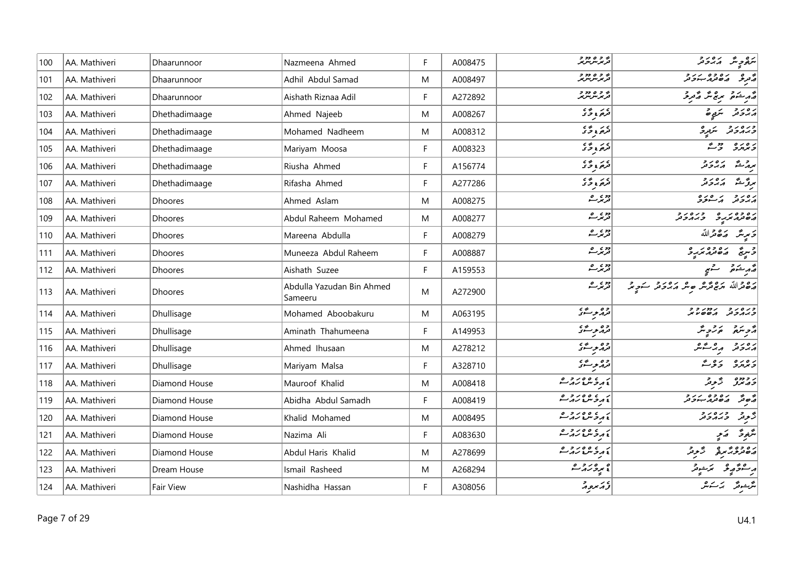| 100 | AA. Mathiveri | Dhaarunnoor          | Nazmeena Ahmed                       | F           | A008475 | یر و ه دو و<br>ترمرس                         | يتنفوه بير مدار و ا                                                      |
|-----|---------------|----------------------|--------------------------------------|-------------|---------|----------------------------------------------|--------------------------------------------------------------------------|
| 101 | AA. Mathiveri | Dhaarunnoor          | Adhil Abdul Samad                    | M           | A008497 | یر و ه دو و<br>تر پر سرس                     | د و ده وه در د<br>دگترنز در <i>ه د</i> ر جو تر                           |
| 102 | AA. Mathiveri | Dhaarunnoor          | Aishath Riznaa Adil                  | F           | A272892 | یر و ۵ وو و<br>تر بر بنزیر                   | ۇرمىنو بىر ئەس ئەبر                                                      |
| 103 | AA. Mathiveri | Dhethadimaage        | Ahmed Najeeb                         | M           | A008267 | ې په په په په<br>مر <sub>جع م</sub> رگ       | رەرو سكرة ھ                                                              |
| 104 | AA. Mathiveri | Dhethadimaage        | Mohamed Nadheem                      | M           | A008312 | ې ر په په<br>تره د د د                       | ورەر دىرە                                                                |
| 105 | AA. Mathiveri | Dhethadimaage        | Mariyam Moosa                        | F           | A008323 | ې د په په<br>تره د ژ د                       | ر ه ر ه<br><del>ر</del> بربرگ                                            |
| 106 | AA. Mathiveri | Dhethadimaage        | Riusha Ahmed                         | F           | A156774 | ړ د پر په<br>تره د تر د                      | بر 2 د و<br>م <i>ر</i> گرفتر<br>بىر ئەشىش                                |
| 107 | AA. Mathiveri | Dhethadimaage        | Rifasha Ahmed                        | F           | A277286 | ې په وي د                                    | برۇڭ مەردىر                                                              |
| 108 | AA. Mathiveri | <b>Dhoores</b>       | Ahmed Aslam                          | M           | A008275 | دد ۽ ه                                       | ړه رو پر عرو                                                             |
| 109 | AA. Mathiveri | <b>Dhoores</b>       | Abdul Raheem Mohamed                 | M           | A008277 | دو ۽ ه                                       | קסיקה מקדי כמהכת<br>הסיקה <i>מלחכ</i> ת                                  |
| 110 | AA. Mathiveri | <b>Dhoores</b>       | Mareena Abdulla                      | $\mathsf F$ | A008279 | ددې ه                                        | كەمىيىتى <b>#كەنت</b> ى\للە                                              |
| 111 | AA. Mathiveri | <b>Dhoores</b>       | Muneeza Abdul Raheem                 | $\mathsf F$ | A008887 | دد ۽ ه                                       | وسرج مصرمتربرو                                                           |
| 112 | AA. Mathiveri | <b>Dhoores</b>       | Aishath Suzee                        | F           | A159553 | دد ۽ ه                                       | لقهر مشقوم التسقيمي                                                      |
| 113 | AA. Mathiveri | <b>Dhoores</b>       | Abdulla Yazudan Bin Ahmed<br>Sameeru | M           | A272900 | دو پر ھ                                      | ره و الله بره وره مده برورو كروند.<br>مەھىرالله مەم ترس ھىر مەدونر كوچرى |
| 114 | AA. Mathiveri | Dhullisage           | Mohamed Aboobakuru                   | M           | A063195 | قرۇمۇرىمىچ                                   | כנסנכ נחנכב<br>קמתכת <mark>מ</mark> ססטי <i>ת</i>                        |
| 115 | AA. Mathiveri | Dhullisage           | Aminath Thahumeena                   | F           | A149953 | قرۇمۇستىمى                                   | أزوينه وزديد                                                             |
| 116 | AA. Mathiveri | Dhullisage           | Ahmed Ihusaan                        | M           | A278212 | لتروم وستمو                                  | پروژو<br>ەر ئەشە                                                         |
| 117 | AA. Mathiveri | Dhullisage           | Mariyam Malsa                        | $\mathsf F$ | A328710 | وه <sub>عرضت</sub> ی<br>مر <sub>م</sub> ر عر | ىز بۇرىئە<br>ر ه ر ه<br><del>د</del> بربر د                              |
| 118 | AA. Mathiveri | Diamond House        | Mauroof Khalid                       | M           | A008418 | ، ، ، ، ، ، ، ، ،                            | ر و دوه<br><del>و</del> پر تو<br>تزوتر                                   |
| 119 | AA. Mathiveri | Diamond House        | Abidha Abdul Samadh                  | F           | A008419 | ، ئەھمەر دە                                  | و ده ده در در د                                                          |
| 120 | AA. Mathiveri | Diamond House        | Khalid Mohamed                       | M           | A008495 | ، ، ، ، ، ، ، ، ،                            | و ر ه ر و<br>تر پرتر تر<br>رَّحِرْثَرُ                                   |
| 121 | AA. Mathiveri | <b>Diamond House</b> | Nazima Ali                           | F           | A083630 | ، ، ، ، ، ، ، ، ،                            | شموڅ مړم                                                                 |
| 122 | AA. Mathiveri | Diamond House        | Abdul Haris Khalid                   | M           | A278699 | ، مۇس ئەرى                                   | رەدە ئىروتى ئىرى                                                         |
| 123 | AA. Mathiveri | Dream House          | Ismail Rasheed                       | M           | A268294 | ە بىر <i>5 مەدى</i> ر                        | ر قۇرۇ كەشەھ                                                             |
| 124 | AA. Mathiveri | <b>Fair View</b>     | Nashidha Hassan                      | F           | A308056 | ي پر <sub>مرحو</sub> ر                       | للرشوش كالكامل                                                           |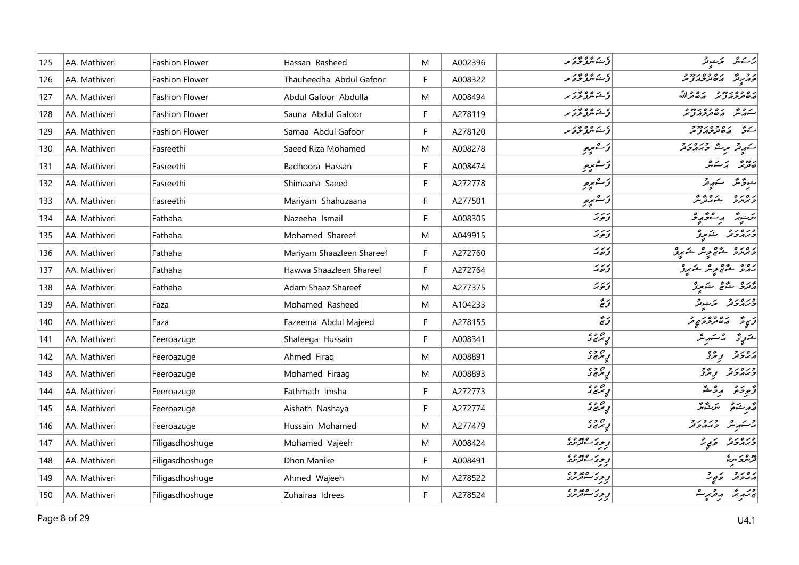| 125 | AA. Mathiveri | <b>Fashion Flower</b> | Hassan Rasheed            | M           | A002396 | ا ئۇ شەھەر بىرى<br>ئىقتىسىمى ئىرى ئىس                    | برسكانكر المخرجة مر                            |
|-----|---------------|-----------------------|---------------------------|-------------|---------|----------------------------------------------------------|------------------------------------------------|
| 126 | AA. Mathiveri | <b>Fashion Flower</b> | Thauheedha Abdul Gafoor   | $\mathsf F$ | A008322 | <sup>ى</sup> يەشقى بەر<br>توخشىنى تۈخ                    | ر و په په ۱۵۶۵۶ و.<br>د مړين په په مرمونړن     |
| 127 | AA. Mathiveri | <b>Fashion Flower</b> | Abdul Gafoor Abdulla      | M           | A008494 | ، ئەشەھەر ئەر<br>توخشىمىتى ئىرىقى ئىر                    | ره ده دود و ده د الله                          |
| 128 | AA. Mathiveri | <b>Fashion Flower</b> | Sauna Abdul Gafoor        | F           | A278119 | ۇخەشرۇ ئەتەر                                             | ر در ده ده درود                                |
| 129 | AA. Mathiveri | <b>Fashion Flower</b> | Samaa Abdul Gafoor        | F           | A278120 | ى پەرە ەسىمىر<br>تۇخسىن تەشرى                            | ر ده ده ده در د                                |
| 130 | AA. Mathiveri | Fasreethi             | Saeed Riza Mohamed        | M           | A008278 | ۇ س <sup>ە</sup> بىرە<br>ئ <sup>ەر</sup>                 | أكتهيش برنش وبره والمحمد                       |
| 131 | AA. Mathiveri | Fasreethi             | Badhoora Hassan           | $\mathsf F$ | A008474 | ۇ ش <sub>ىمىزمۇ</sub>                                    | ەددە برىك                                      |
| 132 | AA. Mathiveri | Fasreethi             | Shimaana Saeed            | F           | A272778 | ۇ سەبىرە<br>ئ                                            | خوڈ شرکتہ کے مریکر                             |
| 133 | AA. Mathiveri | Fasreethi             | Mariyam Shahuzaana        | $\mathsf F$ | A277501 | اؤتشميره                                                 | رەرە <u>بە</u> ەبەر<br><i>جىمەرى خى</i> رتۇنتر |
| 134 | AA. Mathiveri | Fathaha               | Nazeeha Ismail            | F           | A008305 | ر ر<br>ترە بە                                            | لترسيد المستوقيو                               |
| 135 | AA. Mathiveri | Fathaha               | Mohamed Shareef           | M           | A049915 | ۇ ئەر                                                    | ورەرو شەرو                                     |
| 136 | AA. Mathiveri | Fathaha               | Mariyam Shaazleen Shareef | F           | A272760 | ترىر                                                     | رەرە ئەچمىر ئىر                                |
| 137 | AA. Mathiveri | Fathaha               | Hawwa Shaazleen Shareef   | F           | A272764 | ۇ ئەر                                                    | رەۋ ئۇۋېرىر ئىرۇ                               |
| 138 | AA. Mathiveri | Fathaha               | Adam Shaaz Shareef        | M           | A277375 | ۇەبر                                                     | أركرو الشرقي الشمرو                            |
| 139 | AA. Mathiveri | Faza                  | Mohamed Rasheed           | M           | A104233 | ترتج                                                     | ورەرو كەنبەتر                                  |
| 140 | AA. Mathiveri | Faza                  | Fazeema Abdul Majeed      | F           | A278155 | تریخ                                                     | <br>  د پې د مه مرکز د په مر                   |
| 141 | AA. Mathiveri | Feeroazuge            | Shafeega Hussain          | F           | A008341 | د ۶ و ۽<br>پيگرين <sub>ک</sub>                           | شرورق برستهريش                                 |
| 142 | AA. Mathiveri | Feeroazuge            | Ahmed Firaq               | M           | A008891 | ە ج ء د ،<br>توپىرىج ئ                                   | برەر دېگرې                                     |
| 143 | AA. Mathiveri | Feeroazuge            | Mohamed Firaaq            | M           | A008893 | ه و ه<br>و پرېځ د                                        | ورەر دېرى                                      |
| 144 | AA. Mathiveri | Feeroazuge            | Fathmath Imsha            | F           | A272773 | ه ۶ و ء<br>و مربح د                                      | تزجوختم الرحاشة                                |
| 145 | AA. Mathiveri | Feeroazuge            | Aishath Nashaya           | $\mathsf F$ | A272774 | د ۶ و ۽<br>پوسمبر                                        | مەر ئىكى ئىس ئىشكىر                            |
| 146 | AA. Mathiveri | Feeroazuge            | Hussain Mohamed           | M           | A277479 | و چر <sub>ی</sub> د ۽<br>پ <sub>و</sub> سري <sub>ک</sub> | ج ڪھر شرح ور در د                              |
| 147 | AA. Mathiveri | Filigasdhoshuge       | Mohamed Vajeeh            | M           | A008424 | ار و د حدود <del>.</del><br>ار و د سودرد                 | ورەر دىر د                                     |
| 148 | AA. Mathiveri | Filigasdhoshuge       | <b>Dhon Manike</b>        | F           | A008491 | ا د بر د سه د د ،<br>او بر د سه تر برد                   | مرعر شریکا                                     |
| 149 | AA. Mathiveri | Filigasdhoshuge       | Ahmed Wajeeh              | M           | A278522 | او مریر ۱۶۶۵ و پر<br>گرمری سوفترمری                      | ره ر <del>و</del><br>دروو کوړ                  |
| 150 | AA. Mathiveri | Filigasdhoshuge       | Zuhairaa Idrees           | F           | A278524 | او پور صعد د ه<br>ار پور سوندرد                          | ەزىرىتە بەرترىپە                               |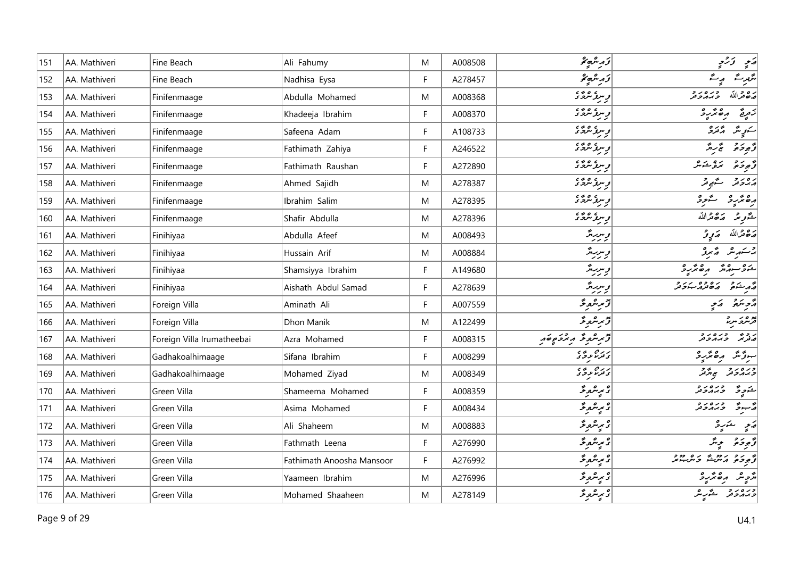| 151 | AA. Mathiveri | Fine Beach                 | Ali Fahumy                | M           | A008508 | ز <sub>مر م</sub> ر <sub>حه محر</sub> | ړې ور <sub>ود</sub>                                                                                                                                                                                                               |
|-----|---------------|----------------------------|---------------------------|-------------|---------|---------------------------------------|-----------------------------------------------------------------------------------------------------------------------------------------------------------------------------------------------------------------------------------|
| 152 | AA. Mathiveri | Fine Beach                 | Nadhisa Eysa              | F           | A278457 | ترەر شھۇ                              | شمرت پرځ<br>شر                                                                                                                                                                                                                    |
| 153 | AA. Mathiveri | Finifenmaage               | Abdulla Mohamed           | ${\sf M}$   | A008368 | و سرو مرگر <sup>ی</sup>               | - در ه ر د<br>د بر د بر د<br>ەھىراللە                                                                                                                                                                                             |
| 154 | AA. Mathiveri | Finifenmaage               | Khadeeja Ibrahim          | F           | A008370 | لو بىر ئە ھەم ئ                       | وە ئۈرۈ<br>نزەرچ                                                                                                                                                                                                                  |
| 155 | AA. Mathiveri | Finifenmaage               | Safeena Adam              | F           | A108733 | ار سره عدد د                          | پر ہ<br>مرترو<br>سەرپەتىر                                                                                                                                                                                                         |
| 156 | AA. Mathiveri | Finifenmaage               | Fathimath Zahiya          | $\mathsf F$ | A246522 | وسرو عددته                            | ا تو <sub>جو</sub> تر م<br>ىتى سەتر                                                                                                                                                                                               |
| 157 | AA. Mathiveri | Finifenmaage               | Fathimath Raushan         | F           | A272890 | و سرڈ شرچ <sup>ج</sup>                | ىر ۋىشەنئر<br>و په پر د                                                                                                                                                                                                           |
| 158 | AA. Mathiveri | Finifenmaage               | Ahmed Sajidh              | ${\sf M}$   | A278387 | ى <sub>ر سى</sub> ز مەد ئ             | د ه د د عستمد حمد حمد الله الله عن مراجع الله الله عن الله عن الله عن الله عن الله عن الله عن الله<br>الله عن الله عن الله عن الله عن الله عن الله عن الله عن الله عن الله عن الله عن الله عن الله عن الله عن الله ع<br>الله عن ا |
| 159 | AA. Mathiveri | Finifenmaage               | Ibrahim Salim             | ${\sf M}$   | A278395 | اربيد عددة                            | ەر ھەترىر <i>3</i>                                                                                                                                                                                                                |
| 160 | AA. Mathiveri | Finifenmaage               | Shafir Abdulla            | M           | A278396 | و سرڈ شرد د                           | شَرْرِ بْرُ<br>وكافرالله                                                                                                                                                                                                          |
| 161 | AA. Mathiveri | Finihiyaa                  | Abdulla Afeef             | M           | A008493 | نو سربر پژ<br><u>سبب</u>              | برە دالله پروتر                                                                                                                                                                                                                   |
| 162 | AA. Mathiveri | Finihiyaa                  | Hussain Arif              | M           | A008884 | او سربر پژ<br><u>سبب</u>              | جر س <sub>ک</sub> ر مگر                                                                                                                                                                                                           |
| 163 | AA. Mathiveri | Finihiyaa                  | Shamsiyya Ibrahim         | F           | A149680 | او سربر پژ<br>گھیسے                   | شەۋىسىدە ئە<br>ەھ ئۈرۈ                                                                                                                                                                                                            |
| 164 | AA. Mathiveri | Finihiyaa                  | Aishath Abdul Samad       | $\mathsf F$ | A278639 | و سربر پژ<br>سربر                     | ره وه بر ر د<br>پره تر پر ښور تر<br>ر<br>د گهر شکوی                                                                                                                                                                               |
| 165 | AA. Mathiveri | Foreign Villa              | Aminath Ali               | F           | A007559 | ب <sup>ى</sup> ر بىر بىرىدىگىر        | أزوينهم أربح                                                                                                                                                                                                                      |
| 166 | AA. Mathiveri | Foreign Villa              | <b>Dhon Manik</b>         | ${\sf M}$   | A122499 | ز <sub>مر</sub> تر <sub>عر</sub> دً   | پر 2 پر 2<br>ترسرپر                                                                                                                                                                                                               |
| 167 | AA. Mathiveri | Foreign Villa Irumatheebai | Azra Mohamed              | F           | A008315 | زٌ بر مثورٌ و برْدَءٍ صَو             | و رە ر د<br><i>د بە</i> گەر<br>ر ج م<br>پر فرنگ                                                                                                                                                                                   |
| 168 | AA. Mathiveri | Gadhakoalhimaage           | Sifana Ibrahim            | F           | A008299 | <br>  د ترره بروگی<br>                | سوژنئر رەمخرىي                                                                                                                                                                                                                    |
| 169 | AA. Mathiveri | Gadhakoalhimaage           | Mohamed Ziyad             | M           | A008349 | ر رە<br>ئەقدىم بورگى                  | و ره ر د<br><i>د بر</i> د تر<br>سم پڑوگر                                                                                                                                                                                          |
| 170 | AA. Mathiveri | Green Villa                | Shameema Mohamed          | $\mathsf F$ | A008359 | ە بېرى <sub>نى</sub> رىگە             | و رە ر د<br><i>د ب</i> رگرىز<br>ڪو پر                                                                                                                                                                                             |
| 171 | AA. Mathiveri | Green Villa                | Asima Mohamed             | F           | A008434 | ە بېرىئىرۇگە<br>ئ                     | ومسبوقه<br>و ره ر و<br><i>و پر</i> و تر                                                                                                                                                                                           |
| 172 | AA. Mathiveri | Green Villa                | Ali Shaheem               | M           | A008883 | و بریٹروٹر                            | ړَ په شَرِدُ                                                                                                                                                                                                                      |
| 173 | AA. Mathiveri | Green Villa                | Fathmath Leena            | F           | A276990 | ە بېرىئىرۇگە<br>ئ                     | و مر د<br>تر مور م<br>ىر پىر<br>پ                                                                                                                                                                                                 |
| 174 | AA. Mathiveri | Green Villa                | Fathimath Anoosha Mansoor | F           | A276992 | ە بېرىئر <sub>ى</sub> رگە             | ه د د د دو په ده دد و<br>زېږده پرسرت وسرب                                                                                                                                                                                         |
| 175 | AA. Mathiveri | Green Villa                | Yaameen Ibrahim           | M           | A276996 | ە بېرىتر <sub>ى</sub> رۇ              | ېژ <sub>چ</sub> بر<br>ە ھەترىر ۋ                                                                                                                                                                                                  |
| 176 | AA. Mathiveri | Green Villa                | Mohamed Shaaheen          | ${\sf M}$   | A278149 | ۇ بېرىتر <sub>ى</sub> رگە             | و ر ه ر د<br>تر بر تر تر                                                                                                                                                                                                          |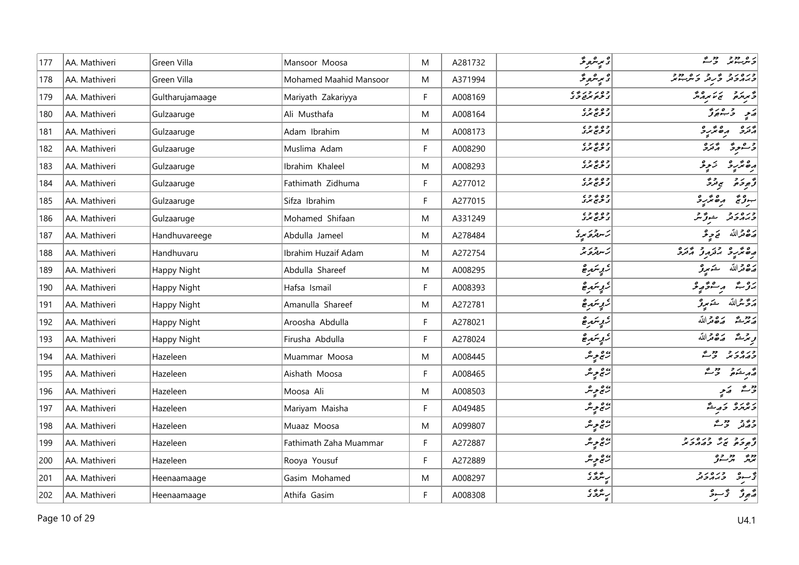| 177 | AA. Mathiveri | Green Villa     | Mansoor Moosa          | M           | A281732 | ە بېرىئر <sub>ى</sub> ر ئە                   | د مرجع ورمح                               |
|-----|---------------|-----------------|------------------------|-------------|---------|----------------------------------------------|-------------------------------------------|
| 178 | AA. Mathiveri | Green Villa     | Mohamed Maahid Mansoor | M           | A371994 | <sub>2 مې</sub> شموځه                        | ورەر د په د ره دد د<br>د برابر د برگر د س |
| 179 | AA. Mathiveri | Gultharujamaage | Mariyath Zakariyya     | F           | A008169 | و ه ر و ر د  ر<br>د <del>ن</del> ره برق تر د | בינתם ביותרת                              |
| 180 | AA. Mathiveri | Gulzaaruge      | Ali Musthafa           | M           | A008164 | و ه پر و ،<br>د نومځ مرد                     | أرو وسعوفر                                |
| 181 | AA. Mathiveri | Gulzaaruge      | Adam Ibrahim           | M           | A008173 | و ه پر و ،<br>د نومځ مرد                     | وره مصرير                                 |
| 182 | AA. Mathiveri | Gulzaaruge      | Muslima Adam           | F           | A008290 | و ه پر و ء<br>ۍ څريخ بوري                    | پور ہ<br>مرتزو<br>د مش <sub>م</sub> وژ    |
| 183 | AA. Mathiveri | Gulzaaruge      | Ibrahim Khaleel        | M           | A008293 | و ه پر و ،<br>د نومځ مور                     | ا پرځمتر پرو<br>سرچينې<br>زکوی            |
| 184 | AA. Mathiveri | Gulzaaruge      | Fathimath Zidhuma      | F           | A277012 | و ه پر و ،<br>د نومځ مرد                     | توجوحهم بي تردمح                          |
| 185 | AA. Mathiveri | Gulzaaruge      | Sifza Ibrahim          | F           | A277015 | و ه پر و ،<br>د نومځ مرد                     | $rac{1}{2}$                               |
| 186 | AA. Mathiveri | Gulzaaruge      | Mohamed Shifaan        | M           | A331249 | ا و ه پر و ء<br>ا د نومځ مور                 | و ره ر د<br><i>و پر</i> پر تر<br>ىنىدۇگىر |
| 187 | AA. Mathiveri | Handhuvareege   | Abdulla Jameel         | M           | A278484 | ئەسرەترىرىتى                                 | برە دالله تح ديڅر                         |
| 188 | AA. Mathiveri | Handhuvaru      | Ibrahim Huzaif Adam    | M           | A272754 | ر سرچ کر جر<br>مسرچونجر                      | وه عربه بازد و عربه                       |
| 189 | AA. Mathiveri | Happy Night     | Abdulla Shareef        | M           | A008295 | ر <sub>و</sub> په کره ه                      | رەت <sub>ى</sub> قىراللە ھەمپەر           |
| 190 | AA. Mathiveri | Happy Night     | Hafsa Ismail           | F           | A008393 | ء پر سَر <sub>م</sub> ھ                      | بروية المسترجية و                         |
| 191 | AA. Mathiveri | Happy Night     | Amanulla Shareef       | M           | A272781 | تجويترموهج                                   | برۇيراللە خىرىر                           |
| 192 | AA. Mathiveri | Happy Night     | Aroosha Abdulla        | $\mathsf F$ | A278021 | ء پر سَر <sub>م</sub> ھ                      | ەھىراللە<br>ىر جۇيئە                      |
| 193 | AA. Mathiveri | Happy Night     | Firusha Abdulla        | F           | A278024 | ر <sub>و</sub> په کره ه                      | ويترث وكافدالله                           |
| 194 | AA. Mathiveri | Hazeleen        | Muammar Moosa          | M           | A008445 | ئەج م <sub>ۇ</sub> پىر                       | 1322012                                   |
| 195 | AA. Mathiveri | Hazeleen        | Aishath Moosa          | F           | A008465 | ر<br>ئەقىمەسىر                               |                                           |
| 196 | AA. Mathiveri | Hazeleen        | Moosa Ali              | M           | A008503 | ئەج مەيىر<br>                                | وحث ارتماح                                |
| 197 | AA. Mathiveri | Hazeleen        | Mariyam Maisha         | F           | A049485 | ارچ <sub>مح</sub> بشر<br>                    | د ۱۵ د م شگ                               |
| 198 | AA. Mathiveri | Hazeleen        | Muaaz Moosa            | M           | A099807 | ائەمچە بىر<br>                               | ا د د ده در م                             |
| 199 | AA. Mathiveri | Hazeleen        | Fathimath Zaha Muammar | F           | A272887 | رجم په پر                                    | 3,000 10 1000                             |
| 200 | AA. Mathiveri | Hazeleen        | Rooya Yousuf           | F           | A272889 | ئەج مەيىر<br>                                | מי מי פס<br>זקוק וק                       |
| 201 | AA. Mathiveri | Heenaamaage     | Gasim Mohamed          | M           | A008297 | ر پڙھ<br>پڻ                                  | و رە ر د<br>تر پروتر<br>چونسوچ<br>ر       |
| 202 | AA. Mathiveri | Heenaamaage     | Athifa Gasim           | F           | A008308 | ر پژو <sup>ي</sup><br>په مرد د               | ە ئەبۇ ئۇسۇ                               |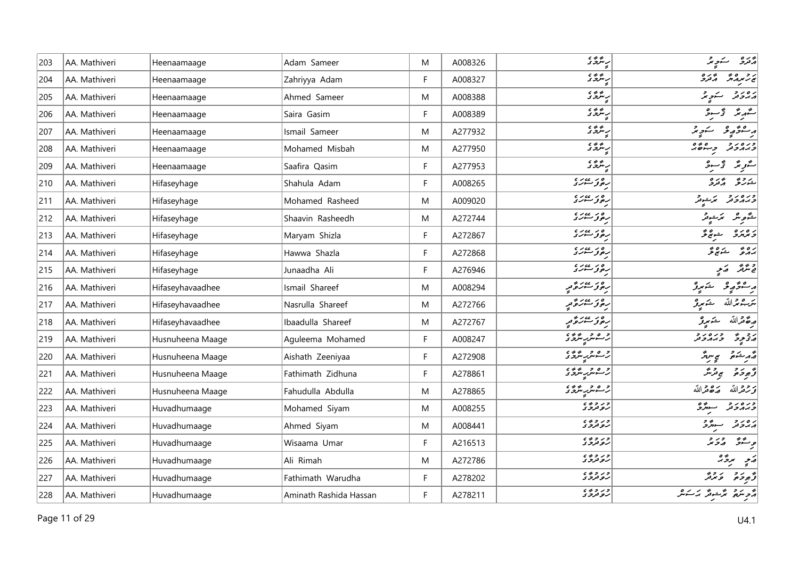| 203 | AA. Mathiveri | Heenaamaage      | Adam Sameer            | ${\sf M}$ | A008326 | ر پېژونه<br>په مترد د                           | پور ہ<br>پر تعری<br>سەھ پر              |
|-----|---------------|------------------|------------------------|-----------|---------|-------------------------------------------------|-----------------------------------------|
| 204 | AA. Mathiveri | Heenaamaage      | Zahriyya Adam          | F         | A008327 | ر پژو <sup>ي</sup>                              | پر ده<br>مرکز<br>  پر ژبر د ژ           |
| 205 | AA. Mathiveri | Heenaamaage      | Ahmed Sameer           | M         | A008388 | ر پژوي<br>په مرد د                              | دەرو سەچە                               |
| 206 | AA. Mathiveri | Heenaamaage      | Saira Gasim            | F         | A008389 | ر پېژونه<br>په مترد د                           | سەمەسىر ئۇسىرد                          |
| 207 | AA. Mathiveri | Heenaamaage      | Ismail Sameer          | M         | A277932 | ر پژوي<br>په مرد د                              | سەرپە<br>ىر سىر <i>ۇ م</i> ور           |
| 208 | AA. Mathiveri | Heenaamaage      | Mohamed Misbah         | M         | A277950 | ر پڙھ ئ                                         |                                         |
| 209 | AA. Mathiveri | Heenaamaage      | Saafira Qasim          | F         | A277953 | ر پژو <sup>ي</sup>                              | سەرپە ئۇسۇ                              |
| 210 | AA. Mathiveri | Hifaseyhage      | Shahula Adam           | F         | A008265 | رە دې بەر ،                                     | أشروق أروده                             |
| 211 | AA. Mathiveri | Hifaseyhage      | Mohamed Rasheed        | ${\sf M}$ | A009020 | رە بەيد ،                                       | و ره ر و<br><i>و پر ه</i> تر<br>بخرشوقر |
| 212 | AA. Mathiveri | Hifaseyhage      | Shaavin Rasheedh       | ${\sf M}$ | A272744 | رە ئەسىر ،                                      | كحوش كمرشوش                             |
| 213 | AA. Mathiveri | Hifaseyhage      | Maryam Shizla          | F         | A272867 | رە ئەسىر ،                                      | رەرە شەچۇ                               |
| 214 | AA. Mathiveri | Hifaseyhage      | Hawwa Shazla           | F         | A272868 | رە ئەسىر ،                                      | رە پە<br>برادى<br>شەچ ئۇ                |
| 215 | AA. Mathiveri | Hifaseyhage      | Junaadha Ali           | F         | A276946 | رە دې بەر ،<br>رەۋىسىر د                        | في ترتگر کر تر                          |
| 216 | AA. Mathiveri | Hifaseyhavaadhee | Ismail Shareef         | ${\sf M}$ | A008294 | رە ئەسەر ئەر<br>بەھ ئەسىر ئەھ                   | برڪوگيري ڪيپڙ                           |
| 217 | AA. Mathiveri | Hifaseyhavaadhee | Nasrulla Shareef       | ${\sf M}$ | A272766 | رە ئەسەر ئەر                                    | <br> سرجہ سرالله    مندمرو              |
| 218 | AA. Mathiveri | Hifaseyhavaadhee | Ibaadulla Shareef      | ${\sf M}$ | A272767 | رە ئەسەر ئەر<br>بەر ئەسىر ئەھ                   | ریح قرالله شکمبرو                       |
| 219 | AA. Mathiveri | Husnuheena Maage | Aguleema Mohamed       | F         | A008247 | ژ_شمر پر پر پر پر پر                            | كەچمى جەمدە                             |
| 220 | AA. Mathiveri | Husnuheena Maage | Aishath Zeeniyaa       | F         | A272908 | ژ_شمر پر پر پر پر پر<br>  پر سشمر پر پسر پر پر  | أَوَّ مِرْ سُوَّةٍ مَّ مِرْدً           |
| 221 | AA. Mathiveri | Husnuheena Maage | Fathimath Zidhuna      | F         | A278861 | ر مەرگە ئەم<br>ئەسەسىي شرىرى                    | أزهوخرة وترتثر                          |
| 222 | AA. Mathiveri | Husnuheena Maage | Fahudulla Abdulla      | M         | A278865 | ر مشر بر در در در در در بر<br>بر سه مربر مربو د | وروالله<br>ەھىراللە                     |
| 223 | AA. Mathiveri | Huvadhumaage     | Mohamed Siyam          | M         | A008255 | و ر و د »<br>ر و ترو د                          | ور ه ر و و ه<br>د بربرو تر سوبرو        |
| 224 | AA. Mathiveri | Huvadhumaage     | Ahmed Siyam            | M         | A008441 | و ر و د ،<br>روترو د                            | גם ג' ביותר.<br>ג' ג' ביותר             |
| 225 | AA. Mathiveri | Huvadhumaage     | Wisaama Umar           | F         | A216513 | ور و د ،<br>رو ترو <sub>ک</sub>                 | اه شیخه<br>پ<br>ور و<br>در د            |
| 226 | AA. Mathiveri | Huvadhumaage     | Ali Rimah              | ${\sf M}$ | A272786 | و ر و د ،<br>روىرو <sub>ى</sub>                 | ړې بروژ                                 |
| 227 | AA. Mathiveri | Huvadhumaage     | Fathimath Warudha      | F         | A278202 | و ر و د  ،<br>روىرو  ړ                          | وٌمودَهِ وَمِرْ                         |
| 228 | AA. Mathiveri | Huvadhumaage     | Aminath Rashida Hassan | F         | A278211 | و ر و د ،<br>روترو د                            | أأدوسهم الأراد وكالمركب                 |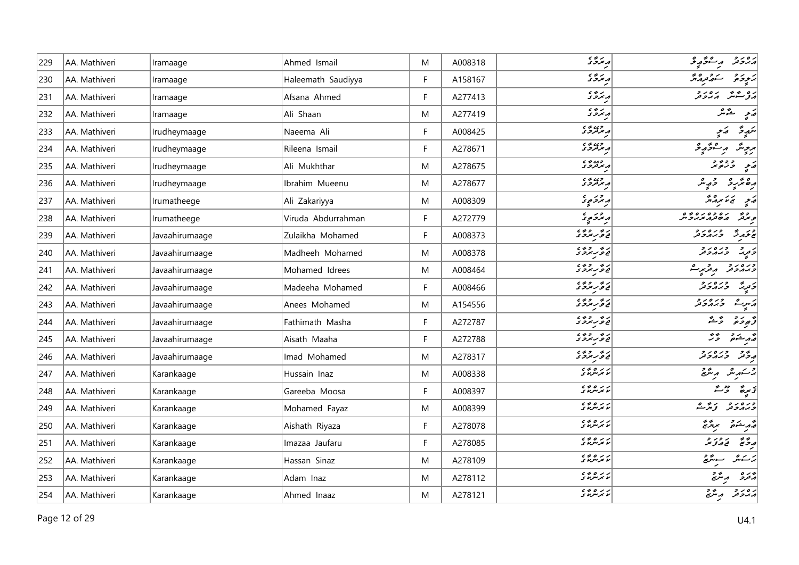| 229 | AA. Mathiveri | Iramaage       | Ahmed Ismail       | M  | A008318 | د بوره د<br>م بورگ                              | رەرد رەشۇرۇ                                                      |
|-----|---------------|----------------|--------------------|----|---------|-------------------------------------------------|------------------------------------------------------------------|
| 230 | AA. Mathiveri | Iramaage       | Haleemath Saudiyya | F. | A158167 | د برو ،<br>د برژ د                              | سە ھەمەھەر<br>بروده                                              |
| 231 | AA. Mathiveri | Iramaage       | Afsana Ahmed       | F. | A277413 | ەر بىرى                                         | رە ئەنگەر بەر د                                                  |
| 232 | AA. Mathiveri | Iramaage       | Ali Shaan          | M  | A277419 | ە ئىرىپى                                        | ىشەھر<br>ەئىچە                                                   |
| 233 | AA. Mathiveri | Irudheymaage   | Naeema Ali         | F  | A008425 | <br>  مرمزدی                                    | سمەتر<br>ئىسىم<br>ەكىپىيە                                        |
| 234 | AA. Mathiveri | Irudheymaage   | Rileena Ismail     | F. | A278671 | و ده ده د<br>در موتور د                         | برویژ<br>برقيقية                                                 |
| 235 | AA. Mathiveri | Irudheymaage   | Ali Mukhthar       | M  | A278675 | و پره پر بر<br>در جوتور پر                      | ړې د دور                                                         |
| 236 | AA. Mathiveri | Irudheymaage   | Ibrahim Mueenu     | M  | A278677 | و پر بر بر<br>در موفورس                         | ەرھ ئ <sup>ۆ</sup> رۈ<br>خەم بىر                                 |
| 237 | AA. Mathiveri | Irumatheege    | Ali Zakariyya      | M  | A008309 | ېر پر دې<br>بر بردې پي                          |                                                                  |
| 238 | AA. Mathiveri | Irumatheege    | Viruda Abdurrahman | F. | A272779 | و بر در پر<br>د برگرمو د                        | ره وه ره ده<br>پره تربر تر تر<br>ءِ بمرتمر                       |
| 239 | AA. Mathiveri | Javaahirumaage | Zulaikha Mohamed   | F  | A008373 | ریم رحمہ ی<br>  ہے جگہ مرکز ی                   | و ره ر د<br><i>د ب</i> رگرمر<br>ح ځرمر ش                         |
| 240 | AA. Mathiveri | Javaahirumaage | Madheeh Mohamed    | M  | A008378 | ر و بر و و ،<br>نح قر برد د                     | و ر ه ر و<br>تر پرتر تر<br>ىز مەرىر<br>ئ                         |
| 241 | AA. Mathiveri | Javaahirumaage | Mohamed Idrees     | M  | A008464 | ر په روپرو<br>محافظ په مرکز د                   | ورەرو مەرىپ                                                      |
| 242 | AA. Mathiveri | Javaahirumaage | Madeeha Mohamed    | F  | A008466 | پر څر پر چري<br>  پنج مر پر چر <sub>چ</sub>     | و ره ر و<br><i>و ټ</i> ه <del>و</del> تر<br>ئە تەرى <sup>س</sup> |
| 243 | AA. Mathiveri | Javaahirumaage | Anees Mohamed      | M  | A154556 | پر څر بر څر ی                                   | و رە ر د<br><i>د بە</i> گەر<br> پرسپە                            |
| 244 | AA. Mathiveri | Javaahirumaage | Fathimath Masha    | F. | A272787 | ریم رحمہ ی<br>  ہے جگہ مرکز ی                   | ۇ بوزى<br>ر گرنگر                                                |
| 245 | AA. Mathiveri | Javaahirumaage | Aisath Maaha       | F. | A272788 | پر څر پر چري                                    | ە ئەرىشى ئ                                                       |
| 246 | AA. Mathiveri | Javaahirumaage | Imad Mohamed       | M  | A278317 | پر څر پر چري<br>  پنج مر پر چر <sub>ک</sub>     | ەردىمە<br>و رە ر د<br>تر پروتر                                   |
| 247 | AA. Mathiveri | Karankaage     | Hussain Inaz       | M  | A008338 | ر ر ه و د ،<br>ما <del>ب</del> ر سربا د         | برسكريثر أريثي                                                   |
| 248 | AA. Mathiveri | Karankaage     | Gareeba Moosa      | F  | A008397 | ر ر ه و و ،<br>ما <del>ب</del> رمبر <i>دا</i> د | دو مح<br>تر <sub>مو</sub> رة<br>تر مورة                          |
| 249 | AA. Mathiveri | Karankaage     | Mohamed Fayaz      | M  | A008399 | ر ر ه و و ،<br>ما ترس د د                       | ورەرو روم                                                        |
| 250 | AA. Mathiveri | Karankaage     | Aishath Riyaza     | F  | A278078 | ر ر ه و د ،<br>ما بر سرد د                      | وكرمشكم بروكج                                                    |
| 251 | AA. Mathiveri | Karankaage     | Imazaa Jaufaru     | F  | A278085 | ر ر ه و د ،<br>ما <del>ب</del> ر سربا د         | ورځ ځه ور                                                        |
| 252 | AA. Mathiveri | Karankaage     | Hassan Sinaz       | M  | A278109 | ر رەپەر<br>مايىرىنزىرى                          | سەمئىي<br>برسەشر                                                 |
| 253 | AA. Mathiveri | Karankaage     | Adam Inaz          | M  | A278112 | ر ره ۶۵<br>ما بر مرما د                         | ويتزج<br>په ره<br>د ترو                                          |
| 254 | AA. Mathiveri | Karankaage     | Ahmed Inaaz        | M  | A278121 | ر ر ه و د ،<br>ما بر سرد د                      | رەر دىگە                                                         |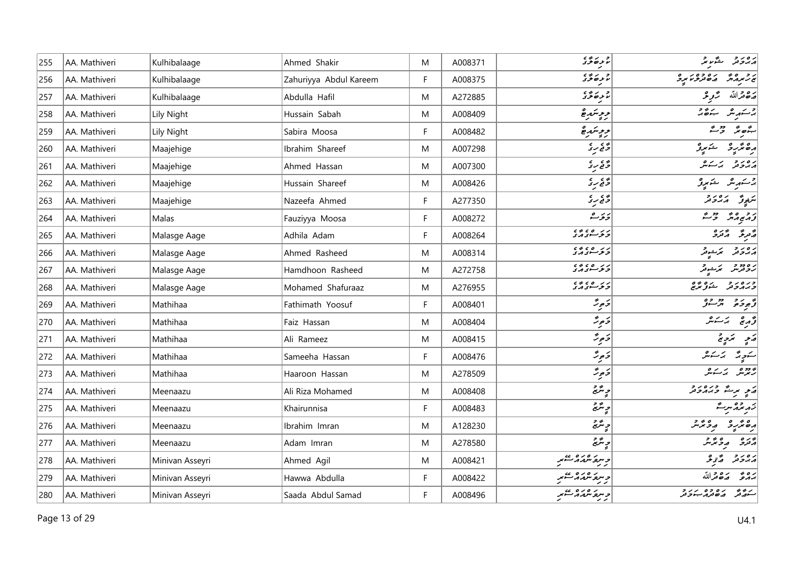| 255 | AA. Mathiveri | Kulhibalaage      | Ahmed Shakir           | M         | A008371 | د بر د ه<br>  ما د ه څر                          | رەر ئەسىمى<br>مەركى ئىسىمى                                                                                                                                                                                                          |
|-----|---------------|-------------------|------------------------|-----------|---------|--------------------------------------------------|-------------------------------------------------------------------------------------------------------------------------------------------------------------------------------------------------------------------------------------|
| 256 | AA. Mathiveri | Kulhibalaage      | Zahuriyya Abdul Kareem | F         | A008375 | د ر د د ،<br>را د تا تر د                        | י כ פ מ י פני י פי                                                                                                                                                                                                                  |
| 257 | AA. Mathiveri | Kulhibalaage      | Abdulla Hafil          | M         | A272885 | و رکھ بری<br>ما نورہ مور                         | رە دالله گروگ                                                                                                                                                                                                                       |
| 258 | AA. Mathiveri | <b>Lily Night</b> | Hussain Sabah          | M         | A008409 | <br>دیوسکه هج                                    | 22 مريد سنقد                                                                                                                                                                                                                        |
| 259 | AA. Mathiveri | Lily Night        | Sabira Moosa           | F         | A008482 | وويئدة                                           | $27 - 70 - 7$                                                                                                                                                                                                                       |
| 260 | AA. Mathiveri | Maajehige         | Ibrahim Shareef        | M         | A007298 | انو چې کړي<br>افريقي کړي                         | رە ئەر ئىسىر                                                                                                                                                                                                                        |
| 261 | AA. Mathiveri | Maajehige         | Ahmed Hassan           | ${\sf M}$ | A007300 | ی ځ ځ ر ځ<br>د ځم                                | رەرو برسكى                                                                                                                                                                                                                          |
| 262 | AA. Mathiveri | Maajehige         | Hussain Shareef        | M         | A008426 | ه و د د کا<br>مرگ مرگ                            | المرسكور متكافير في المحدد المحدد المحدد المحدد المحدد المحدد المحدد المحدد المحدد المحدد المحدد الم<br>المحدد المحدد المحدد المحدد المحدد المحدد المحدد المحدد المحدد المحدد المحدد المحدد المحدد المحدد المحدد المحد<br>المحدد ال |
| 263 | AA. Mathiveri | Maajehige         | Nazeefa Ahmed          | F         | A277350 | لځ چې د پ<br> خلص سرچ                            | تتهورٌ مَدَوَّ مَد                                                                                                                                                                                                                  |
| 264 | AA. Mathiveri | Malas             | Fauziyya Moosa         | F         | A008272 | ىز ئە                                            | أزمي مهر وحث                                                                                                                                                                                                                        |
| 265 | AA. Mathiveri | Malasge Aage      | Adhila Adam            | F         | A008264 | ر ر مړي و ،<br>تر تر د د د                       | درو دره                                                                                                                                                                                                                             |
| 266 | AA. Mathiveri | Malasge Aage      | Ahmed Rasheed          | ${\sf M}$ | A008314 | پر په ه و و و<br>  <del>په نوب</del> مرد و       | رەر تەرىپىدۇ.<br>مەركى تەش <sub>ە</sub> ر                                                                                                                                                                                           |
| 267 | AA. Mathiveri | Malasge Aage      | Hamdhoon Rasheed       | M         | A272758 | ر ر مړيو <sup>ء</sup> ِ<br>5 <del>گر</del> سوه د | ره دو د سر سر در در در استاندار<br>  را در در سر سر سر در سر                                                                                                                                                                        |
| 268 | AA. Mathiveri | Malasge Aage      | Mohamed Shafuraaz      | ${\sf M}$ | A276955 | ر ر مړي و ،<br>تر تر د د د                       | وره رو ده وه<br><i>وبردونډ</i> شوربرج                                                                                                                                                                                               |
| 269 | AA. Mathiveri | Mathihaa          | Fathimath Yoosuf       | F         | A008401 | ئە ھ <sub>ۇ</sub> ر                              | أو بر د دوه                                                                                                                                                                                                                         |
| 270 | AA. Mathiveri | Mathihaa          | Faiz Hassan            | ${\sf M}$ | A008404 | ىز ەرگە<br>م                                     | توریح برسک                                                                                                                                                                                                                          |
| 271 | AA. Mathiveri | Mathihaa          | Ali Rameez             | M         | A008415 | ىر مۇرگە<br>مەس                                  |                                                                                                                                                                                                                                     |
| 272 | AA. Mathiveri | Mathihaa          | Sameeha Hassan         | F         | A008476 | خامويرٌ                                          | سكوك الكاشكر                                                                                                                                                                                                                        |
| 273 | AA. Mathiveri | Mathihaa          | Haaroon Hassan         | M         | A278509 | ځ جو ش                                           | <u>وده رئی که</u>                                                                                                                                                                                                                   |
| 274 | AA. Mathiveri | Meenaazu          | Ali Riza Mohamed       | M         | A008408 | حريثر فلمح                                       | ړې برگ دره در                                                                                                                                                                                                                       |
| 275 | AA. Mathiveri | Meenaazu          | Khairunnisa            | F         | A008483 | حریثر تح                                         | تەرىپە ئىرگ                                                                                                                                                                                                                         |
| 276 | AA. Mathiveri | Meenaazu          | Ibrahim Imran          | ${\sf M}$ | A128230 | حريثر فلمح                                       | رە ئەر ئەر ئەر                                                                                                                                                                                                                      |
| 277 | AA. Mathiveri | Meenaazu          | Adam Imran             | ${\sf M}$ | A278580 | حريثرمج                                          | وره وويرس                                                                                                                                                                                                                           |
| 278 | AA. Mathiveri | Minivan Asseyri   | Ahmed Agil             | M         | A008421 | حەسى ھەرەر مەسىر<br>مەسىر ھەمدىر كىشىر           | رەر دۇر                                                                                                                                                                                                                             |
| 279 | AA. Mathiveri | Minivan Asseyri   | Hawwa Abdulla          | F         | A008422 | حەسى ھەدەرى<br>مەسىر ھەدەر كىشىر                 | بروء روورالله                                                                                                                                                                                                                       |
| 280 | AA. Mathiveri | Minivan Asseyri   | Saada Abdul Samad      | F         | A008496 | دېبرې مرد منصبر<br>  دېبرې مرد کر ک              | ر ده ده ده وه ر ر د<br>سوړنگر در ه تورم سور تو                                                                                                                                                                                      |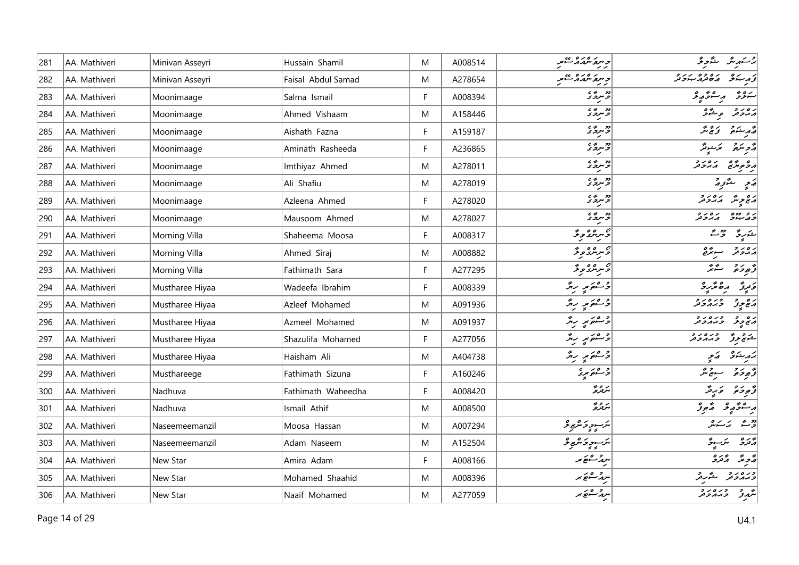| 281 | AA. Mathiveri | Minivan Asseyri | Hussain Shamil     | M           | A008514 | حەسى ھەرە يىم<br>كەن ھەمدەر سىمبر   | برسكهر شاهر ومحر                                    |
|-----|---------------|-----------------|--------------------|-------------|---------|-------------------------------------|-----------------------------------------------------|
| 282 | AA. Mathiveri | Minivan Asseyri | Faisal Abdul Samad | M           | A278654 | احەسى مەدەبىيە<br>كەن سىدە سىمىر    | وكرسنو مقدم بردد                                    |
| 283 | AA. Mathiveri | Moonimaage      | Salma Ismail       | F           | A008394 | دو<br>وسرچر                         | لتذويح ومستوجبو                                     |
| 284 | AA. Mathiveri | Moonimaage      | Ahmed Vishaam      | M           | A158446 | دو په په په<br>د سرچ د              | برەرد پەشكى                                         |
| 285 | AA. Mathiveri | Moonimaage      | Aishath Fazna      | $\mathsf F$ | A159187 | دو<br>وسرچر                         | ۇرشۇ زېڭر                                           |
| 286 | AA. Mathiveri | Moonimaage      | Aminath Rasheeda   | $\mathsf F$ | A236865 | دو په په<br>د سرچ د                 | أأترجع أترسيق                                       |
| 287 | AA. Mathiveri | Moonimaage      | Imthiyaz Ahmed     | M           | A278011 | دو په په<br>تر سرچ <sub>ک</sub>     | תכתחים המכת                                         |
| 288 | AA. Mathiveri | Moonimaage      | Ali Shafiu         | M           | A278019 | دو<br>ترسرچری                       | ړنې څروړ .<br>دغې شرور .<br>دغې د ددې               |
| 289 | AA. Mathiveri | Moonimaage      | Azleena Ahmed      | F           | A278020 | ود سرچ ی<br>تر سرچ <sub>ک</sub>     |                                                     |
| 290 | AA. Mathiveri | Moonimaage      | Mausoom Ahmed      | M           | A278027 | ود سرچ <sub>ک</sub>                 | ر و دوه<br>ژهرسوژ<br>برورو                          |
| 291 | AA. Mathiveri | Morning Villa   | Shaheema Moosa     | F           | A008317 | <sup>ج</sup> سرىندى <sub>قر</sub> ۇ | شەرىخ ئۆسكە                                         |
| 292 | AA. Mathiveri | Morning Villa   | Ahmed Siraj        | M           | A008882 | <sup>م</sup> ەسرىنىڭ <i>م</i> وقە   | رەر ئەر ئەرەم<br>مەركى ئىس                          |
| 293 | AA. Mathiveri | Morning Villa   | Fathimath Sara     | F           | A277295 | وسرهمو وقر                          | دُوره شد                                            |
| 294 | AA. Mathiveri | Mustharee Hiyaa | Wadeefa Ibrahim    | F           | A008339 | د صمنو پر برگر                      | وَمِرِزٌ مِعْمَدٍ و                                 |
| 295 | AA. Mathiveri | Mustharee Hiyaa | Azleef Mohamed     | M           | A091936 | د مشتموس برگر<br>مرسموس             | גם כל כלחכת                                         |
| 296 | AA. Mathiveri | Mustharee Hiyaa | Azmeel Mohamed     | M           | A091937 | <mark>خر صفوسپ سرمگر</mark>         | גַ בְּבַ בְּבוֹ בְּבֵע                              |
| 297 | AA. Mathiveri | Mustharee Hiyaa | Shazulifa Mohamed  | F           | A277056 | د مصنع به برگر<br> -<br> -          | ے پ <sup>ے</sup> مرق<br>و رە ر د<br><i>د بە</i> پەر |
| 298 | AA. Mathiveri | Mustharee Hiyaa | Haisham Ali        | M           | A404738 | ا ده موسی <i> ب</i> رگر             | بمركو كالمح                                         |
| 299 | AA. Mathiveri | Musthareege     | Fathimath Sizuna   | F           | A160246 | د مصر<br>د سوه پېړۍ                 | سوچينگر<br>ۇ بوزى                                   |
| 300 | AA. Mathiveri | Nadhuva         | Fathimath Waheedha | F           | A008420 | ر و ه<br>سربرو                      | وَّجِوحَةً وَرِيَّزَ                                |
| 301 | AA. Mathiveri | Nadhuva         | Ismail Athif       | M           | A008500 | ر و ه<br>سربر <i>ه</i>              | وحقوقه مقوق                                         |
| 302 | AA. Mathiveri | Naseemeemanzil  | Moosa Hassan       | M           | A007294 | ىئەس <sub>ىۋ</sub> ئەنگە بىر        | وحدثة الجاسكونش                                     |
| 303 | AA. Mathiveri | Naseemeemanzil  | Adam Naseem        | M           | A152504 | ىئەسىرە ئىرى<br>سىر                 | أرتدو سرَبِ و                                       |
| 304 | AA. Mathiveri | New Star        | Amira Adam         | F           | A008166 | سرتر شڪ تعر                         | ړ په په کارو                                        |
| 305 | AA. Mathiveri | New Star        | Mohamed Shaahid    | M           | A008396 | سرتر شڪ تعر                         | ورەرو شرىر                                          |
| 306 | AA. Mathiveri | New Star        | Naaif Mohamed      | M           | A277059 | سرز شقع سر                          | شرو ورەرو                                           |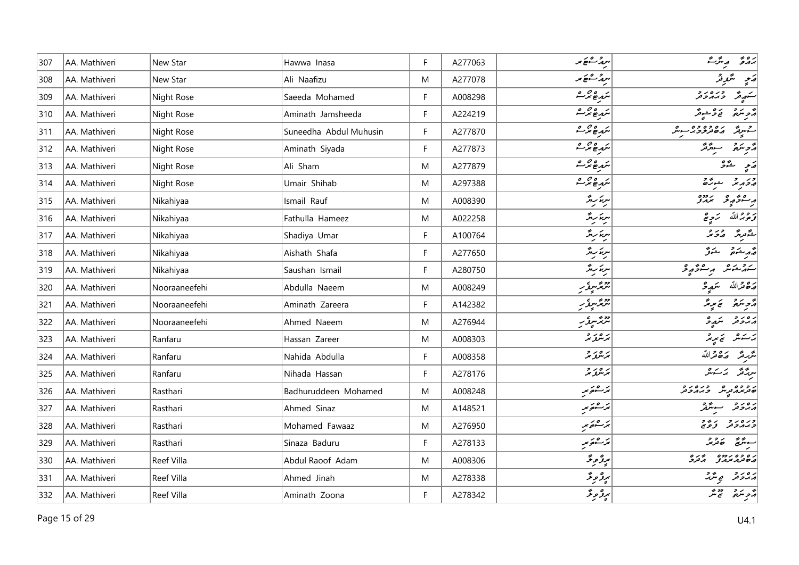| 307 | AA. Mathiveri | New Star          | Hawwa Inasa            | F         | A277063 | سرتر شوئع بر                                                                                  | ىرىتزىتە<br>ر ه و<br>پروگ                                                                         |
|-----|---------------|-------------------|------------------------|-----------|---------|-----------------------------------------------------------------------------------------------|---------------------------------------------------------------------------------------------------|
| 308 | AA. Mathiveri | New Star          | Ali Naafizu            | M         | A277078 | سرز شۇير                                                                                      | د <sup>ر</sup> م شرد                                                                              |
| 309 | AA. Mathiveri | Night Rose        | Saeeda Mohamed         | F         | A008298 | يتروغوث                                                                                       | و ره ر و<br>تر پر ژمر<br>سَورٍ قَدْ                                                               |
| 310 | AA. Mathiveri | Night Rose        | Aminath Jamsheeda      | F         | A224219 | $\boxed{\underbrace{\mathcal{L}\mathcal{L}\mathcal{L}\mathcal{L}}_{\mathcal{L}\mathcal{L}}}.$ | أأدخر وأستحاف والمستحر                                                                            |
| 311 | AA. Mathiveri | Night Rose        | Suneedha Abdul Muhusin | F         | A277870 | لتروحونه                                                                                      | ره وه وه مره<br>پره ترو تر سرس                                                                    |
| 312 | AA. Mathiveri | Night Rose        | Aminath Siyada         | F         | A277873 | يتروه عرشه                                                                                    |                                                                                                   |
| 313 | AA. Mathiveri | <b>Night Rose</b> | Ali Sham               | M         | A277879 | لتروغر                                                                                        | $\begin{array}{cc} \overline{\mathcal{L}} & \mathcal{L} \\ \mathcal{L} & \mathcal{L} \end{array}$ |
| 314 | AA. Mathiveri | Night Rose        | Umair Shihab           | ${\sf M}$ | A297388 | سَرِءٍ يُرْتَّ                                                                                |                                                                                                   |
| 315 | AA. Mathiveri | Nikahiyaa         | Ismail Rauf            | M         | A008390 | سرىئە سەنتىر                                                                                  |                                                                                                   |
| 316 | AA. Mathiveri | Nikahiyaa         | Fathulla Hameez        | M         | A022258 | مىرىدىكە<br>مەسىر                                                                             | ترجع الله كرج مح                                                                                  |
| 317 | AA. Mathiveri | Nikahiyaa         | Shadiya Umar           | F.        | A100764 | مىرىدىكە<br>مەسىر                                                                             | شگورنگر اور در د                                                                                  |
| 318 | AA. Mathiveri | Nikahiyaa         | Aishath Shafa          | F         | A277650 | مىرىدىكە<br>مەسىر                                                                             |                                                                                                   |
| 319 | AA. Mathiveri | Nikahiyaa         | Saushan Ismail         | F         | A280750 | سربأ ربثه                                                                                     | سەر شەش رەھ ئەر ئو                                                                                |
| 320 | AA. Mathiveri | Nooraaneefehi     | Abdulla Naeem          | M         | A008249 | دور<br>مرتز میرو <sub>س</sub> ر                                                               | أصفعه الله سمعي                                                                                   |
| 321 | AA. Mathiveri | Nooraaneefehi     | Aminath Zareera        | F         | A142382 | لتربر<br>مربر موکر                                                                            | أأترجع تجميعه                                                                                     |
| 322 | AA. Mathiveri | Nooraaneefehi     | Ahmed Naeem            | M         | A276944 | ەدە يەر<br>ئىرىگە يولىر                                                                       | أرور ومنتصر والمحمدة المستحدة                                                                     |
| 323 | AA. Mathiveri | Ranfaru           | Hassan Zareer          | M         | A008303 | ىر ھەر ج                                                                                      | برسكس تجارير                                                                                      |
| 324 | AA. Mathiveri | Ranfaru           | Nahida Abdulla         | F         | A008358 | ىر ھەر جە                                                                                     | م <i>تَّرْبِتَرَ 1</i> 50 مِحْرَاللَّه                                                            |
| 325 | AA. Mathiveri | Ranfaru           | Nihada Hassan          | F.        | A278176 | ىر مەر جە                                                                                     | سرچم پرستانگر                                                                                     |
| 326 | AA. Mathiveri | Rasthari          | Badhuruddeen Mohamed   | M         | A008248 | ابر حقم بر                                                                                    | נככם נגדים במחבת<br>סתיבת ניידי במחבת                                                             |
| 327 | AA. Mathiveri | Rasthari          | Ahmed Sinaz            | M         | A148521 | برعوبر                                                                                        | رەرو سوشتىر                                                                                       |
| 328 | AA. Mathiveri | Rasthari          | Mohamed Fawaaz         | M         | A276950 | بئر شفوس                                                                                      | כנסנכ נבב<br>כג <i>ו</i> בב נפש                                                                   |
| 329 | AA. Mathiveri | Rasthari          | Sinaza Baduru          | F         | A278133 | ىر مەمۇبىر<br>مەسىم <i>ۇ</i> بىر                                                              | سەندى ھەرىر                                                                                       |
| 330 | AA. Mathiveri | Reef Villa        | Abdul Raoof Adam       | M         | A008306 | ىرىۋە ئ <sup>ۇ</sup>                                                                          | ر ٥ ٥ ٥ ر دو ٥<br>۵ ک تو ۸ مورم تو<br>پور ہ<br>مرکزو                                              |
| 331 | AA. Mathiveri | <b>Reef Villa</b> | Ahmed Jinah            | M         | A278338 | ىرىۋە ئە                                                                                      | أرور و محمد                                                                                       |
| 332 | AA. Mathiveri | Reef Villa        | Aminath Zoona          | F         | A278342 | ىردۇرۇ                                                                                        | أأروسه فليحمد                                                                                     |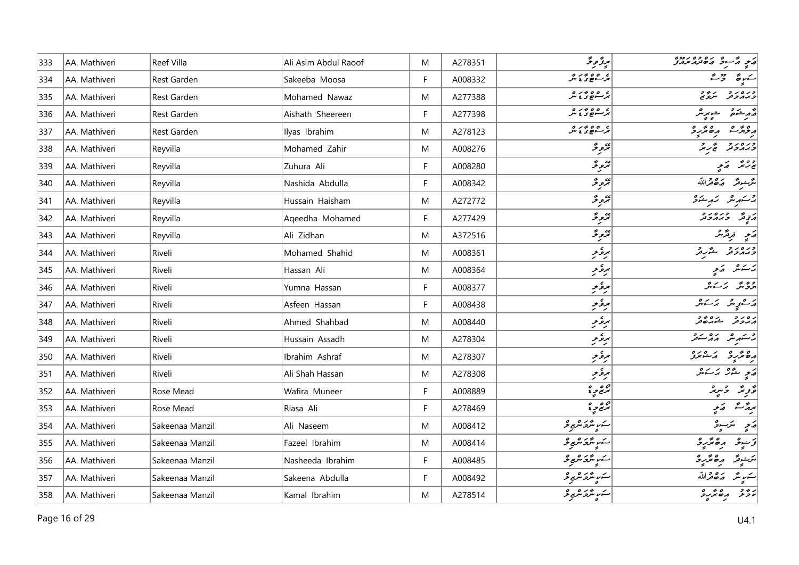| 333 | AA. Mathiveri | Reef Villa         | Ali Asim Abdul Raoof | M         | A278351 | ىردۇرۇ                                   | ה ה הליים מסינת מחי                                     |
|-----|---------------|--------------------|----------------------|-----------|---------|------------------------------------------|---------------------------------------------------------|
| 334 | AA. Mathiveri | <b>Rest Garden</b> | Sakeeba Moosa        | F         | A008332 | ې مەھ پەر ھ<br>بر سىزدى ئاس              | $\begin{bmatrix} 2 & 2 & 2 \\ -2 & 2 & 2 \end{bmatrix}$ |
| 335 | AA. Mathiveri | Rest Garden        | Mohamed Nawaz        | M         | A277388 | ې مەھ پەرە<br>ئىرسىۋې كەنتى              | כנסנכ נבב<br>כגובב תפש                                  |
| 336 | AA. Mathiveri | Rest Garden        | Aishath Sheereen     | F         | A277398 | ې ده ورسې<br>تر سوچ د نو تر              | و<br>د گرېشو ه<br>ے پر مگر<br>پر پر                     |
| 337 | AA. Mathiveri | Rest Garden        | Ilyas Ibrahim        | M         | A278123 | ې ده ورسېږي<br>تر سره <sub>کړ</sub> ې تر |                                                         |
| 338 | AA. Mathiveri | Reyvilla           | Mohamed Zahir        | M         | A008276 | تَدَّهِ قَرْ                             | ورەرو ئەرىر                                             |
| 339 | AA. Mathiveri | Reyvilla           | Zuhura Ali           | F         | A008280 | تَدَّهِ قَر                              | ج حريجه - مركبة به                                      |
| 340 | AA. Mathiveri | Reyvilla           | Nashida Abdulla      | F         | A008342 | عرّمرمَّرَ<br> -<br>                     | يَرْشِع <i>ِ مَنْ</i> مَدَّةَ مِنْ اللَّهُ              |
| 341 | AA. Mathiveri | Reyvilla           | Hussain Haisham      | M         | A272772 | مَدْحِر مَحْه                            | برسكريش كرميكو                                          |
| 342 | AA. Mathiveri | Reyvilla           | Aqeedha Mohamed      | F         | A277429 | مَرْحر مَّرَ                             | دَ پِیْس حیدہ دی د                                      |
| 343 | AA. Mathiveri | Reyvilla           | Ali Zidhan           | M         | A372516 | مَرْحر مَّرَ                             | أەسمجە فرىقرىتر                                         |
| 344 | AA. Mathiveri | Riveli             | Mohamed Shahid       | M         | A008361 | برة و                                    | ورەرو ئەرو                                              |
| 345 | AA. Mathiveri | Riveli             | Hassan Ali           | M         | A008364 | برۂعر                                    | ترستانلار الأبور                                        |
| 346 | AA. Mathiveri | Riveli             | Yumna Hassan         | F         | A008377 | برۂع                                     | ىرۋىتر بركىتر                                           |
| 347 | AA. Mathiveri | Riveli             | Asfeen Hassan        | F         | A008438 | برۂعر                                    | ئەسىر يەر ئەسكەنلەر                                     |
| 348 | AA. Mathiveri | Riveli             | Ahmed Shahbad        | ${\sf M}$ | A008440 | برة و                                    | ره رو دره ۶۶<br>م.رونر څنگړه تر                         |
| 349 | AA. Mathiveri | Riveli             | Hussain Assadh       | M         | A278304 | برۂعر                                    | ج سکهر مگر میگر مردم                                    |
| 350 | AA. Mathiveri | Riveli             | Ibrahim Ashraf       | M         | A278307 | برۂ م                                    | رە ئەر ئەشىر                                            |
| 351 | AA. Mathiveri | <b>Riveli</b>      | Ali Shah Hassan      | M         | A278308 | برءٌ مِر                                 | أمام المشرح بالتكس                                      |
| 352 | AA. Mathiveri | Rose Mead          | Wafira Muneer        | F         | A008889 | ە ە ھ<br>ئىرىم چە ق                      |                                                         |
| 353 | AA. Mathiveri | Rose Mead          | Riasa Ali            | F         | A278469 | 0 ه.<br>  مربع ح <sub>و</sub> ي          |                                                         |
| 354 | AA. Mathiveri | Sakeenaa Manzil    | Ali Naseem           | ${\sf M}$ | A008412 | سەر بۇر ئەرىج ب <sup>ى</sup> ر           |                                                         |
| 355 | AA. Mathiveri | Sakeenaa Manzil    | Fazeel Ibrahim       | ${\sf M}$ | A008414 | سەرپەتىرىقى <sub>ت</sub> و               | ە ھەترىر ۋ<br>ۇخۇ                                       |
| 356 | AA. Mathiveri | Sakeenaa Manzil    | Nasheeda Ibrahim     | F         | A008485 | ى <i>سىر مەڭرىكى بى</i>                  | <br> سرجونژ<br> <br>ەرھ ئ <sup>ۆ</sup> ر ۋ              |
| 357 | AA. Mathiveri | Sakeenaa Manzil    | Sakeena Abdulla      | F         | A008492 | سەر ئىرى ئىرى ئى                         | ەھىراللە<br>سەر پىتىر                                   |
| 358 | AA. Mathiveri | Sakeenaa Manzil    | Kamal Ibrahim        | ${\sf M}$ | A278514 | سىر مەترىكى بىر ق                        | 5, 80, 351                                              |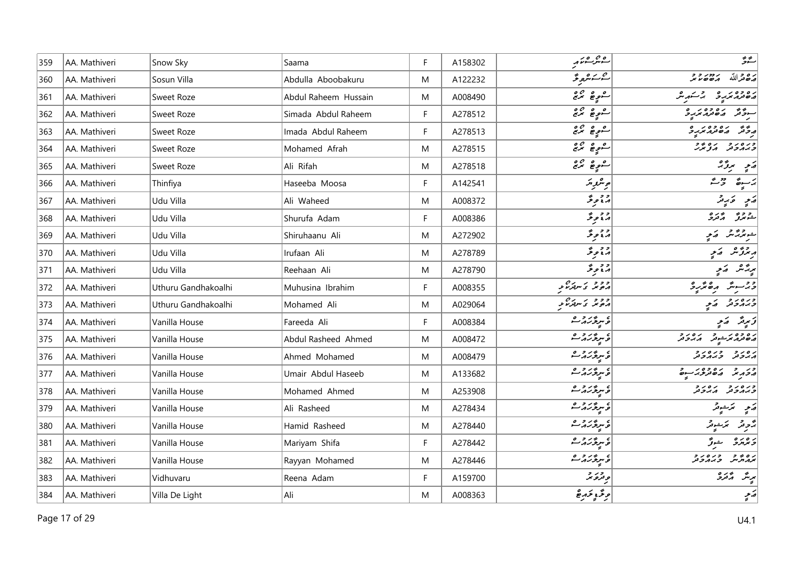| 359 | AA. Mathiveri | Snow Sky            | Saama                | F  | A158302 | <u>ه پره پړ</u>                                                                                                               | ریمبر                                                 |
|-----|---------------|---------------------|----------------------|----|---------|-------------------------------------------------------------------------------------------------------------------------------|-------------------------------------------------------|
| 360 | AA. Mathiveri | Sosun Villa         | Abdulla Aboobakuru   | M  | A122232 | ج يَهْرُو گَرُ                                                                                                                | برە تراللە<br>77777                                   |
| 361 | AA. Mathiveri | Sweet Roze          | Abdul Raheem Hussain | M  | A008490 | $\begin{array}{c c} \hline \circ & \circ & \circ \\ \hline \circ & \circ & \circ \\ \hline \circ & \circ & \circ \end{array}$ | גם כפיג כ גבות יל                                     |
| 362 | AA. Mathiveri | Sweet Roze          | Simada Abdul Raheem  | F. | A278512 |                                                                                                                               | سوځند ره وه د ح                                       |
| 363 | AA. Mathiveri | Sweet Roze          | Imada Abdul Raheem   | F. | A278513 | ه وه جری                                                                                                                      | مروتر مصرم مردو                                       |
| 364 | AA. Mathiveri | Sweet Roze          | Mohamed Afrah        | M  | A278515 |                                                                                                                               | כנסנכ נספכ<br>כממכת הציגל                             |
| 365 | AA. Mathiveri | Sweet Roze          | Ali Rifah            | M  | A278518 | شوءٍ ۾ پر ۾                                                                                                                   | ړې بروژ                                               |
| 366 | AA. Mathiveri | Thinfiya            | Haseeba Moosa        | F  | A142541 | موشود                                                                                                                         | برَب<br>ديو مشر                                       |
| 367 | AA. Mathiveri | Udu Villa           | Ali Waheed           | M  | A008372 | د د و څ                                                                                                                       | أوسم وكبياته                                          |
| 368 | AA. Mathiveri | Udu Villa           | Shurufa Adam         | F  | A008386 | وديموقر                                                                                                                       | <br> شەمرىر<br>پور ہ<br>مرکز پ                        |
| 369 | AA. Mathiveri | Udu Villa           | Shiruhaanu Ali       | M  | A272902 | وديموقر                                                                                                                       | جوهرگانگر الاکو                                       |
| 370 | AA. Mathiveri | Udu Villa           | Irufaan Ali          | M  | A278789 | وديوقر                                                                                                                        | أربرومش أركمي                                         |
| 371 | AA. Mathiveri | Udu Villa           | Reehaan Ali          | M  | A278790 | لرجيح عجر                                                                                                                     | بررژش کرم                                             |
| 372 | AA. Mathiveri | Uthuru Gandhakoalhi | Muhusina Ibrahim     | F  | A008355 | و و و<br>درج نر که سرفرنامو                                                                                                   | $rac{1}{2}$                                           |
| 373 | AA. Mathiveri | Uthuru Gandhakoalhi | Mohamed Ali          | M  | A029064 | ووو کے سہریا ہ                                                                                                                | وره دو کرم                                            |
| 374 | AA. Mathiveri | Vanilla House       | Fareeda Ali          | F  | A008384 | ە بىرى <i>ۋى</i> ر ئە                                                                                                         | تزيرنگر اركمني                                        |
| 375 | AA. Mathiveri | Vanilla House       | Abdul Rasheed Ahmed  | M  | A008472 | ئۇ س <sub>ى</sub> تخەرجە م                                                                                                    | ره وه ترشید می برد و<br>هامه ترشید می برد تر          |
| 376 | AA. Mathiveri | Vanilla House       | Ahmed Mohamed        | M  | A008479 | ئ <sub>ەس</sub> بۇرى <sub>د</sub> ى                                                                                           | ג סגב בג סגב<br>הגבע בגהבע                            |
| 377 | AA. Mathiveri | Vanilla House       | Umair Abdul Haseeb   | M  | A133682 | ع بېر <i>ۇرى م</i>                                                                                                            | בנגיב נפיניביביים                                     |
| 378 | AA. Mathiveri | Vanilla House       | Mohamed Ahmed        | M  | A253908 | ء <sub>ُ سرم</sub> ُرَ رَمْر م                                                                                                | כנסנכ נסנכ<br><i>כג</i> מכנ <sub>ע</sub> מגבע         |
| 379 | AA. Mathiveri | Vanilla House       | Ali Rasheed          | M  | A278434 | ع س <i>رڈ ز</i> یر ہے<br>                                                                                                     | ر<br>موسيم سيومر<br>موسيق                             |
| 380 | AA. Mathiveri | Vanilla House       | Hamid Rasheed        | M  | A278440 | ە بىرى <i>ۋى</i> ر ئە                                                                                                         | أتروثر المرسوثر                                       |
| 381 | AA. Mathiveri | Vanilla House       | Mariyam Shifa        | F  | A278442 | اء مریز تر <u>یز م</u>                                                                                                        | ويوبره<br>شەتر                                        |
| 382 | AA. Mathiveri | Vanilla House       | Rayyan Mohamed       | M  | A278446 | ى <sub>س</sub> رى <i>ز مە</i> ر                                                                                               | و ره ر د<br><i>د ب</i> رگرفر<br>ر ه بر د<br>برد بر بر |
| 383 | AA. Mathiveri | Vidhuvaru           | Reena Adam           | F  | A159700 | و در د<br>و ترو نر                                                                                                            | ابریٹر پروژ<br>پیش پروژر                              |
| 384 | AA. Mathiveri | Villa De Light      | Ali                  | M  | A008363 | و ڦري ځرم ه                                                                                                                   | رځمنې                                                 |
|     |               |                     |                      |    |         |                                                                                                                               |                                                       |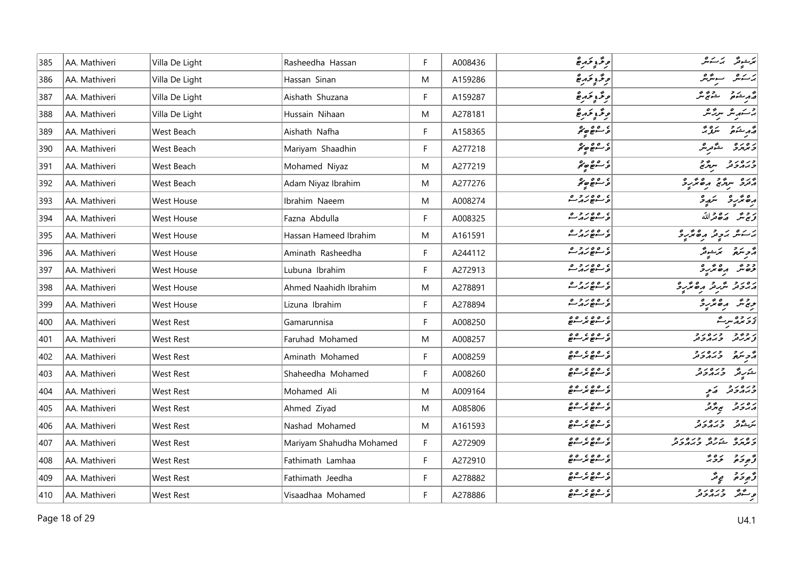| 385 | AA. Mathiveri | Villa De Light    | Rasheedha Hassan         | F  | A008436 | وقروخهره                  | ىكەشپەگر كەسكەنلى                                                        |
|-----|---------------|-------------------|--------------------------|----|---------|---------------------------|--------------------------------------------------------------------------|
| 386 | AA. Mathiveri | Villa De Light    | Hassan Sinan             | M  | A159286 | وقحوخره                   | ئەسەھەلەر سەھەتلىرى<br> -                                                |
| 387 | AA. Mathiveri | Villa De Light    | Aishath Shuzana          | F  | A159287 | وقروغهره                  | ۇرمىشمۇ ھەتتى ئىر                                                        |
| 388 | AA. Mathiveri | Villa De Light    | Hussain Nihaan           | M  | A278181 | وقروخهره                  | بز سکه مثر سربر مثر                                                      |
| 389 | AA. Mathiveri | West Beach        | Aishath Nafha            | F  | A158365 | $\frac{2}{3}$             | و مر شو د<br>مر<br>سرە پە                                                |
| 390 | AA. Mathiveri | West Beach        | Mariyam Shaadhin         | F  | A277218 | وكسفوكم                   | ر ه ر ه<br><del>د</del> بربرگ<br>شگەرىگر                                 |
| 391 | AA. Mathiveri | West Beach        | Mohamed Niyaz            | M  | A277219 | وكسفوكم                   | و ر ه ر د<br>د بر پر تر<br>سرپر د                                        |
| 392 | AA. Mathiveri | West Beach        | Adam Niyaz Ibrahim       | M  | A277276 | وكوهوكم                   | أدرو سرائح وه تربرو                                                      |
| 393 | AA. Mathiveri | <b>West House</b> | Ibrahim Naeem            | M  | A008274 | <i>ی شیغ ت</i> رژ م       | رەتزىر ئىمرو                                                             |
| 394 | AA. Mathiveri | <b>West House</b> | Fazna Abdulla            | F. | A008325 | <sup>ى</sup> مەمرىر م     | ترتج تثر برة قرالله                                                      |
| 395 | AA. Mathiveri | <b>West House</b> | Hassan Hameed Ibrahim    | M  | A161591 | ې ده ور د ه<br>و شوم ترکه | ړ خپر ډېر ره ټرېږ                                                        |
| 396 | AA. Mathiveri | <b>West House</b> | Aminath Rasheedha        | F. | A244112 | ې ده ور د ه<br>و شوه زړ ش | أرمز ترة<br>ىكەشىيەتىگر                                                  |
| 397 | AA. Mathiveri | West House        | Lubuna Ibrahim           | F. | A272913 | ې موږ د و                 | ده شهره و ده مرب                                                         |
| 398 | AA. Mathiveri | West House        | Ahmed Naahidh Ibrahim    | M  | A278891 | ې ده ور د ه<br>و شوه زړ ش | رورد شرد ره پرو                                                          |
| 399 | AA. Mathiveri | <b>West House</b> | Lizuna Ibrahim           | F  | A278894 | ې ده ور د ه<br>و شوم ترکم | دینجنگر رەنجرىيە 3                                                       |
| 400 | AA. Mathiveri | <b>West Rest</b>  | Gamarunnisa              | F. | A008250 | ې ده وې ده<br>و شوم پر شو | پر بر وه سرت<br>تح <b>ر</b> تر پر سرت                                    |
| 401 | AA. Mathiveri | <b>West Rest</b>  | Faruhad Mohamed          | M  | A008257 | ې ده وې ده<br>و شوم پر شو | و ر ه ر د<br>تر پر پر تر<br>ىر جەمبەر<br>تونىرىر تىر                     |
| 402 | AA. Mathiveri | <b>West Rest</b>  | Aminath Mohamed          | F. | A008259 | ې ده وې ده و              | و رە ر د<br>تر پر تر تر<br>ړ څر سره                                      |
| 403 | AA. Mathiveri | <b>West Rest</b>  | Shaheedha Mohamed        | F  | A008260 | ې ده وې ده<br>و شوم پر شو | و ره ر د<br><i>د ب</i> رگرفر<br>ے کمبر مگر<br>پخ                         |
| 404 | AA. Mathiveri | <b>West Rest</b>  | Mohamed Ali              | M  | A009164 | ې ده وې ده<br>و شوم پر شو | وره رو در کرم                                                            |
| 405 | AA. Mathiveri | <b>West Rest</b>  | Ahmed Ziyad              | M  | A085806 | ې ده وې ده و              | پره پر در مورد مختلف<br>  پر پرچ پر مختلف مختلف                          |
| 406 | AA. Mathiveri | <b>West Rest</b>  | Nashad Mohamed           | M  | A161593 | ې ده وې ده و              | ر در دره در د<br>سرشگاند از جاند در                                      |
| 407 | AA. Mathiveri | <b>West Rest</b>  | Mariyam Shahudha Mohamed | F  | A272909 | ې ده وې ده و              | ر ٥ ر ٥ ر و <i>٥ - ٥ ر ٥ ر و</i><br>تر <i>بر بر ح د بر بر بر بر و تر</i> |
| 408 | AA. Mathiveri | <b>West Rest</b>  | Fathimath Lamhaa         | F. | A272910 | ې ده وې ده<br>و شوم پر شو | توجوحه بحرجة                                                             |
| 409 | AA. Mathiveri | <b>West Rest</b>  | Fathimath Jeedha         | F. | A278882 | ې ده وې ده<br>و شوم پر شو | و مرد د<br>مج مگر                                                        |
| 410 | AA. Mathiveri | <b>West Rest</b>  | Visaadhaa Mohamed        | F. | A278886 | ې ده وې ده<br>و شوم پر شو | ه شور دره د و<br>ه سوتر از <i>د بر د</i> ر                               |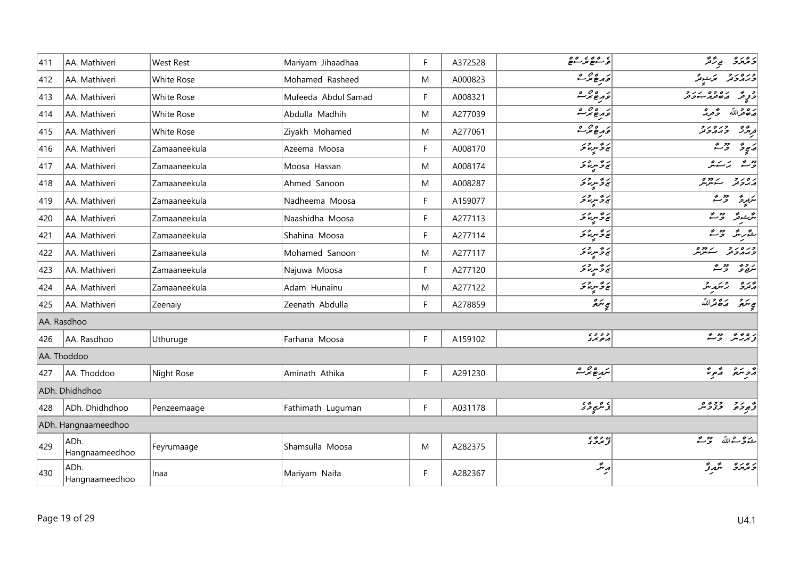| 411 | AA. Mathiveri          | <b>West Rest</b>  | Mariyam Jihaadhaa   | F | A372528 | ې ده وې ده و                                | دیریز و شد                                |
|-----|------------------------|-------------------|---------------------|---|---------|---------------------------------------------|-------------------------------------------|
| 412 | AA. Mathiveri          | <b>White Rose</b> | Mohamed Rasheed     | M | A000823 | ءَ ٻه ڇيمه ه                                | ورەرو كەشپەر                              |
| 413 | AA. Mathiveri          | <b>White Rose</b> | Mufeeda Abdul Samad | F | A008321 | وَرِءِ تَرْتُهِ                             | و ده ده وه در د                           |
| 414 | AA. Mathiveri          | <b>White Rose</b> | Abdulla Madhih      | M | A277039 | لحرموعه                                     | رە دالله گ <sup>و</sup> مر <sup>م</sup>   |
| 415 | AA. Mathiveri          | <b>White Rose</b> | Ziyakh Mohamed      | M | A277061 | ورءيرء                                      | و ره ر د<br>تر پر ژنر<br> فريزٌر          |
| 416 | AA. Mathiveri          | Zamaaneekula      | Azeema Moosa        | F | A008170 | ئ <sub>ە</sub> ئەس <sub>رى</sub> رىمىتى<br> | ړې خې د ت                                 |
| 417 | AA. Mathiveri          | Zamaaneekula      | Moosa Hassan        | M | A008174 | ئە ئەسپەتمۇ                                 | وحسقه الإسكانكر                           |
| 418 | AA. Mathiveri          | Zamaaneekula      | Ahmed Sanoon        | M | A008287 | ئە ئەسپەتمۇ                                 | پرور و<br>سەمىرىر                         |
| 419 | AA. Mathiveri          | Zamaaneekula      | Nadheema Moosa      | F | A159077 | ئە ئەسرىدى<br>ئ                             | سَرْمَدِ تَرَّ<br>رميمه                   |
| 420 | AA. Mathiveri          | Zamaaneekula      | Naashidha Moosa     | F | A277113 | ئە ئەس <i>رىدى</i><br>ئ                     | مگرشونگر<br>مر<br>حر مشر                  |
| 421 | AA. Mathiveri          | Zamaaneekula      | Shahina Moosa       | F | A277114 | ئە ئەسرىرىمىتى ئى                           | ے کر سے اس کے ل                           |
| 422 | AA. Mathiveri          | Zamaaneekula      | Mohamed Sanoon      | M | A277117 | ىز ئەس <sub>ىر</sub> رىمى<br>مەسىر          | و ر ه ر د<br>د بر پر تر<br>سەمبۇرىگر      |
| 423 | AA. Mathiveri          | Zamaaneekula      | Najuwa Moosa        | F | A277120 | ئە ئەسرىز ئە                                | ىروە ھەت                                  |
| 424 | AA. Mathiveri          | Zamaaneekula      | Adam Hunainu        | M | A277122 | ئە ئەس <i>رىدى</i><br>ئ                     | وره چمدیگر                                |
| 425 | AA. Mathiveri          | Zeenaiy           | Zeenath Abdulla     | F | A278859 | ىپ ئىر <i>ە</i>                             | موسَع <sub>ة</sub> مَ <b>صْ</b> قَرْاللّه |
|     | AA. Rasdhoo            |                   |                     |   |         |                                             |                                           |
| 426 | AA. Rasdhoo            | Uthuruge          | Farhana Moosa       | F | A159102 | د د د د<br>پره مرد                          | زەم «ر                                    |
|     | AA. Thoddoo            |                   |                     |   |         |                                             |                                           |
| 427 | AA. Thoddoo            | Night Rose        | Aminath Athika      | F | A291230 | سَرِءٍ تَرْتُ                               | أزوينهم أأولم                             |
|     | ADh. Dhidhdhoo         |                   |                     |   |         |                                             |                                           |
| 428 | ADh. Dhidhdhoo         | Penzeemaage       | Fathimath Luguman   | F | A031178 | ې ش <sub>کې</sub> ځ <sup>ې</sup>            | توجدة المتحدة والمحمد                     |
|     | ADh. Hangnaameedhoo    |                   |                     |   |         |                                             |                                           |
| 429 | ADh.<br>Hangnaameedhoo | Feyrumaage        | Shamsulla Moosa     | M | A282375 | ئە 3 ج ي<br>  تۇ بىرىترى                    | شەۋىتەاللە<br>ىق مىشىر                    |
| 430 | ADh.<br>Hangnaameedhoo | Inaa              | Mariyam Naifa       | F | A282367 | ەرىتىر                                      | ر ه بر ه<br>تر برگر<br>سَّرمە تە          |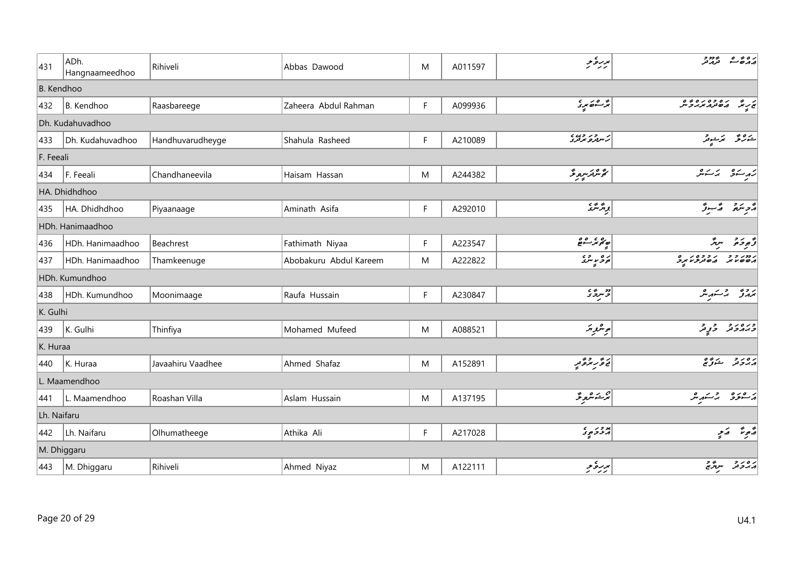| 431         | ADh.<br>Hangnaameedhoo | Rihiveli          | Abbas Dawood           | M           | A011597 | ىررى<br>رىرى                                      | رەپ ە دەر                              |
|-------------|------------------------|-------------------|------------------------|-------------|---------|---------------------------------------------------|----------------------------------------|
| B. Kendhoo  |                        |                   |                        |             |         |                                                   |                                        |
| 432         | B. Kendhoo             | Raasbareege       | Zaheera Abdul Rahman   | F           | A099936 | ئۇ سەھ ئىرى<br>ئى                                 | ر د ده ده ده ده و                      |
|             | Dh. Kudahuvadhoo       |                   |                        |             |         |                                                   |                                        |
| 433         | Dh. Kudahuvadhoo       | Handhuvarudheyge  | Shahula Rasheed        | $\mathsf F$ | A210089 | ر سرور وړ، ،<br>رسرفرو بوتو و                     | لمشركز كالمخاطر                        |
| F. Feeali   |                        |                   |                        |             |         |                                                   |                                        |
| 434         | F. Feeali              | Chandhaneevila    | Haisam Hassan          | M           | A244382 | ئۇنىرىز سرە ئ                                     | كەلىكى كەسكىر                          |
|             | HA. Dhidhdhoo          |                   |                        |             |         |                                                   |                                        |
| 435         | HA. Dhidhdhoo          | Piyaanaage        | Aminath Asifa          | $\mathsf F$ | A292010 | بو پژشو ،                                         | ومحر سكتم والمسوقر                     |
|             | HDh. Hanimaadhoo       |                   |                        |             |         |                                                   |                                        |
| 436         | HDh. Hanimaadhoo       | Beachrest         | Fathimath Niyaa        | $\mathsf F$ | A223547 | ھ گھ تر شوھ                                       | أو و ده سرگر                           |
| 437         | HDh. Hanimaadhoo       | Thamkeenuge       | Abobakuru Abdul Kareem | M           | A222822 | ىر <sub>ۋىرى</sub> رت <sub>ى</sub>                | ړ و وه د پرو<br>נ בב ק ב<br>גם סיטי זק |
|             | HDh. Kumundhoo         |                   |                        |             |         |                                                   |                                        |
| 438         | HDh. Kumundhoo         | Moonimaage        | Raufa Hussain          | $\mathsf F$ | A230847 | ودسریری                                           | بروو برستهر شر                         |
| K. Gulhi    |                        |                   |                        |             |         |                                                   |                                        |
| 439         | K. Gulhi               | Thinfiya          | Mohamed Mufeed         | M           | A088521 | وبمعريز                                           | ورەر د دېگر                            |
| K. Huraa    |                        |                   |                        |             |         |                                                   |                                        |
| 440         | K. Huraa               | Javaahiru Vaadhee | Ahmed Shafaz           | M           | A152891 | ىر ئەر بىرگە تىر<br>قى <sup>مۇ س</sup> ر بىرگە ئە | رەرد خۇق                               |
|             | L. Maamendhoo          |                   |                        |             |         |                                                   |                                        |
| 441         | L. Maamendhoo          | Roashan Villa     | Aslam Hussain          | M           | A137195 | ترىشەشرە قر                                       | رەرە برىتىدىش                          |
| Lh. Naifaru |                        |                   |                        |             |         |                                                   |                                        |
| 442         | Lh. Naifaru            | Olhumatheege      | Athika Ali             | F           | A217028 | بر و بر پر<br>مرکز م <sub>و</sub> د               | ړې په په                               |
|             | M. Dhiggaru            |                   |                        |             |         |                                                   |                                        |
| 443         | M. Dhiggaru            | Rihiveli          | Ahmed Niyaz            | M           | A122111 | ىررى<br>ئرىر ئىر                                  | גפני ייתרה                             |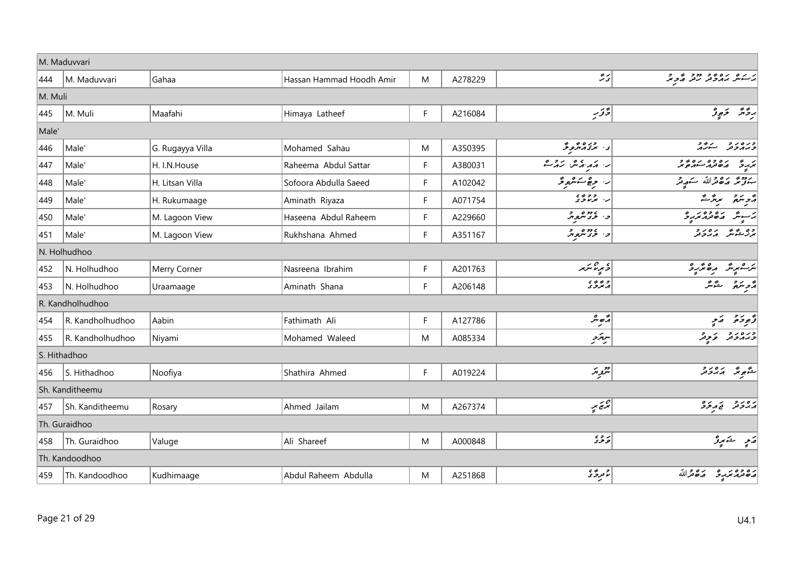|         | M. Maduvvari     |                  |                          |             |         |                                |                                                                 |
|---------|------------------|------------------|--------------------------|-------------|---------|--------------------------------|-----------------------------------------------------------------|
| 444     | M. Maduvvari     | Gahaa            | Hassan Hammad Hoodh Amir | M           | A278229 | ىرچ                            |                                                                 |
| M. Muli |                  |                  |                          |             |         |                                |                                                                 |
| 445     | M. Muli          | Maafahi          | Himaya Latheef           | $\mathsf F$ | A216084 | 3 تۇ س                         | برۇش كۆۋى                                                       |
| Male'   |                  |                  |                          |             |         |                                |                                                                 |
| 446     | Male'            | G. Rugayya Villa | Mohamed Sahau            | ${\sf M}$   | A350395 | ى بىر قەدىر ئوگ                | ورەرو سەپر                                                      |
| 447     | Male'            | H. I.N.House     | Raheema Abdul Sattar     | F           | A380031 | ر. مەم بەش ئەمى                | بر به ره ده ره د د                                              |
| 448     | Male'            | H. Litsan Villa  | Sofoora Abdulla Saeed    | F           | A102042 | ر. وڠ سَمسْ و دَّ              | بردوير برە قراللە سەر قر                                        |
| 449     | Male'            | H. Rukumaage     | Aminath Riyaza           | F           | A071754 | ر<br>ر.                        | ו בייטיב ויקוריית<br>הפייטיב ויקוריית<br>ה'-יינור ה'סינוריותייב |
| 450     | Male'            | M. Lagoon View   | Haseena Abdul Raheem     | F           | A229660 | و . ووه و د                    |                                                                 |
| 451     | Male'            | M. Lagoon View   | Rukhshana Ahmed          | F           | A351167 | ه ده ده ده د<br>د از در سرو مر | وه شگس مره برو<br>برزیش مربر و بر                               |
|         | N. Holhudhoo     |                  |                          |             |         |                                |                                                                 |
| 452     | N. Holhudhoo     | Merry Corner     | Nasreena Ibrahim         | $\mathsf F$ | A201763 | د مړيند سرسه                   | ת פתות ופיתים<br>תו פתות ופיתים<br>וקקיתים בית                  |
| 453     | N. Holhudhoo     | Uraamaage        | Aminath Shana            | F           | A206148 | و ۶ ۵ م<br>د بورس              |                                                                 |
|         | R. Kandholhudhoo |                  |                          |             |         |                                |                                                                 |
| 454     | R. Kandholhudhoo | Aabin            | Fathimath Ali            | F           | A127786 | أرمصر                          |                                                                 |
| 455     | R. Kandholhudhoo | Niyami           | Mohamed Waleed           | ${\sf M}$   | A085334 | سرپر<br>سر                     |                                                                 |
|         | S. Hithadhoo     |                  |                          |             |         |                                |                                                                 |
| 456     | S. Hithadhoo     | Noofiya          | Shathira Ahmed           | F           | A019224 | يتندبر                         | شَهِ پَرْ دَ بَرَ دَ رَ                                         |
|         | Sh. Kanditheemu  |                  |                          |             |         |                                |                                                                 |
| 457     | Sh. Kanditheemu  | Rosary           | Ahmed Jailam             | M           | A267374 | ەر<br>ئىرىئى ئىيە              | أرور ويدبوه                                                     |
|         | Th. Guraidhoo    |                  |                          |             |         |                                |                                                                 |
| 458     | Th. Guraidhoo    | Valuge           | Ali Shareef              | M           | A000848 | ر و ،<br>  د نر                | أەكىي سىكىرى                                                    |
|         | Th. Kandoodhoo   |                  |                          |             |         |                                |                                                                 |
| 459     | Th. Kandoodhoo   | Kudhimaage       | Abdul Raheem Abdulla     | M           | A251868 | د ورځ د<br>مړيو د              | رە دەپرە ھەراللە                                                |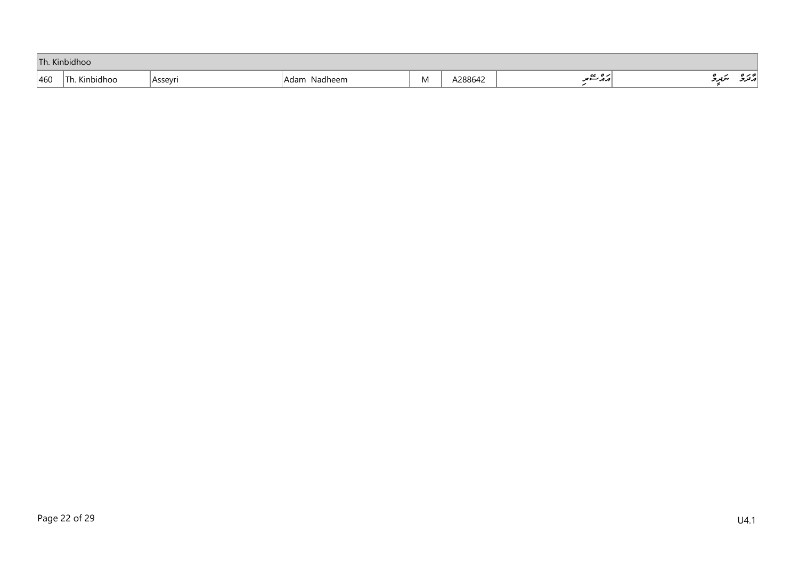| Th. Kinl | pidhoo            |         |                             |   |         |                                               |                     |
|----------|-------------------|---------|-----------------------------|---|---------|-----------------------------------------------|---------------------|
| 460      | Ih.<br>"inbidhoo" | Assevri | `Adar.<br>haar<br>ווסטוונכו | M | A288642 | $\epsilon$ o $\epsilon$ $\vert$<br>  د د سومر | - -<br>يرو<br>برترو |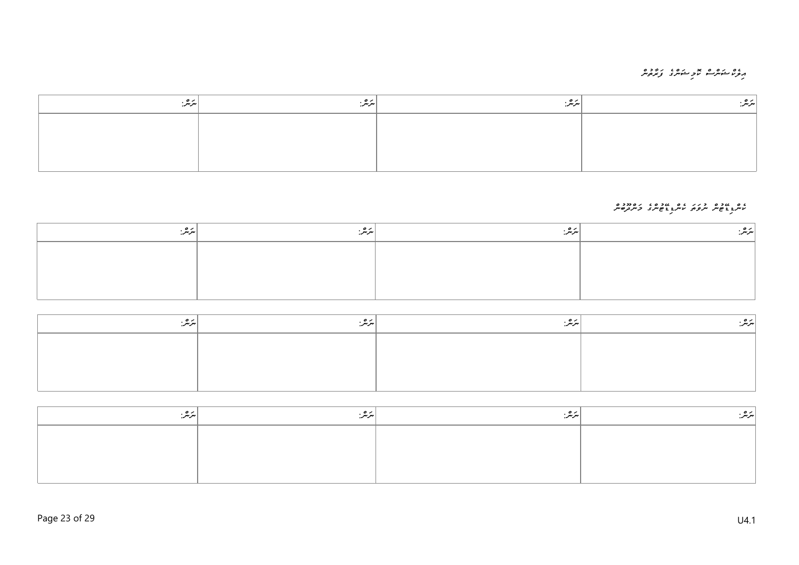## *w7qAn8m? sCw7mRo>u; wEw7mRw;sBo<*

| ' مرمر | 'يئرىثر: |
|--------|----------|
|        |          |
|        |          |
|        |          |

## *w7q9r@w7m> sCw7qHtFoFw7s; mAm=q7 w7qHtFoFw7s;*

| ىر تە | $\mathcal{O} \times$<br>$\sim$ | $\sim$<br>. . | لترنثر |
|-------|--------------------------------|---------------|--------|
|       |                                |               |        |
|       |                                |               |        |
|       |                                |               |        |

| انترنثر: | $^{\circ}$ | يبرهر | $^{\circ}$<br>سرسر |
|----------|------------|-------|--------------------|
|          |            |       |                    |
|          |            |       |                    |
|          |            |       |                    |

| ' ئىرتىر: | سر سر |  |
|-----------|-------|--|
|           |       |  |
|           |       |  |
|           |       |  |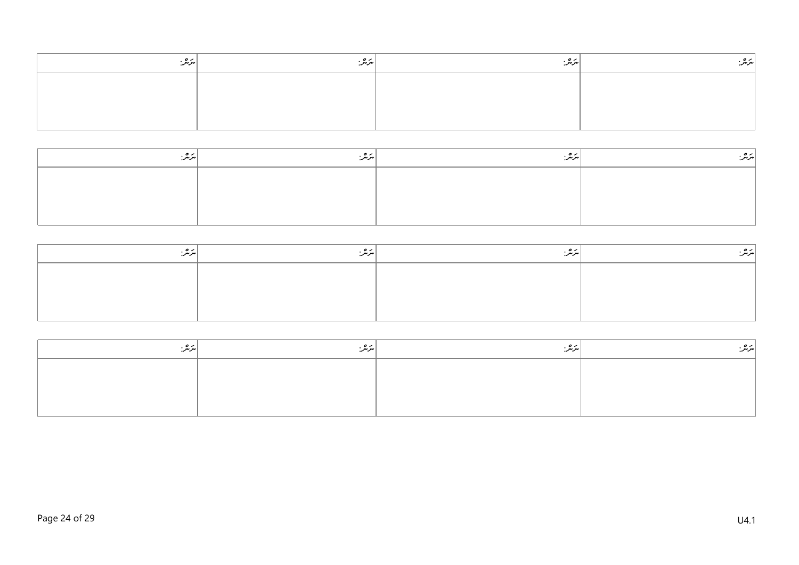| يره. | ο. | ا ير ه |  |
|------|----|--------|--|
|      |    |        |  |
|      |    |        |  |
|      |    |        |  |

| <sup>.</sup> سرسر. |  |
|--------------------|--|
|                    |  |
|                    |  |
|                    |  |

| ىئرىتر. | $\sim$ | ا بر هه. | لىرىش |
|---------|--------|----------|-------|
|         |        |          |       |
|         |        |          |       |
|         |        |          |       |

| 。<br>مرس. | $\overline{\phantom{a}}$<br>مر سر | يتريثر |
|-----------|-----------------------------------|--------|
|           |                                   |        |
|           |                                   |        |
|           |                                   |        |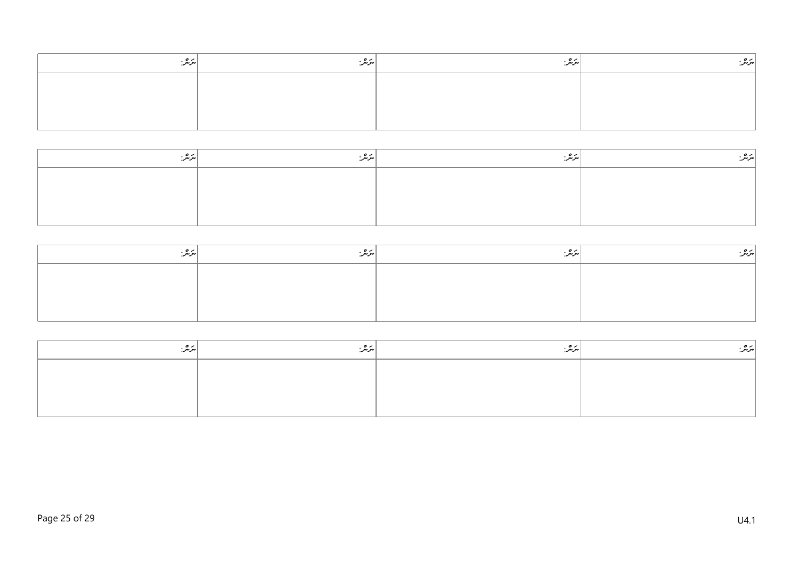| ير هو . | $\overline{\phantom{a}}$ | يرمر | اير هنه. |
|---------|--------------------------|------|----------|
|         |                          |      |          |
|         |                          |      |          |
|         |                          |      |          |

| ئىرتىر: | $\sim$<br>ا سرسر . | يئرمثر | o . |
|---------|--------------------|--------|-----|
|         |                    |        |     |
|         |                    |        |     |
|         |                    |        |     |

| الترنثر: | ' مرتكز: | الترنثر: | .,<br>سرسر. |
|----------|----------|----------|-------------|
|          |          |          |             |
|          |          |          |             |
|          |          |          |             |

|  | . ه |
|--|-----|
|  |     |
|  |     |
|  |     |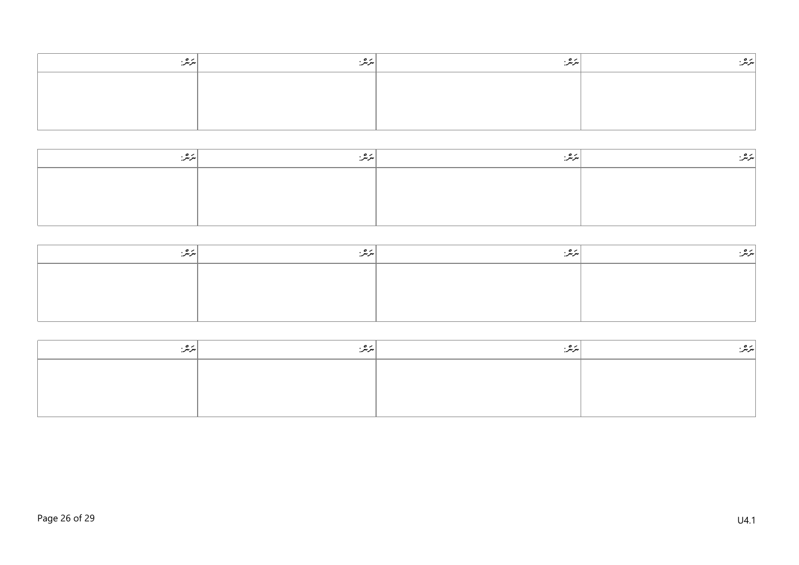| ير هو . | $\overline{\phantom{a}}$ | يرمر | اير هنه. |
|---------|--------------------------|------|----------|
|         |                          |      |          |
|         |                          |      |          |
|         |                          |      |          |

| ئىرتىر: | $\sim$<br>ا سرسر . | يئرمثر | o . |
|---------|--------------------|--------|-----|
|         |                    |        |     |
|         |                    |        |     |
|         |                    |        |     |

| 'تترنثر: | 。<br>,,,, |  |
|----------|-----------|--|
|          |           |  |
|          |           |  |
|          |           |  |

|  | . ه |
|--|-----|
|  |     |
|  |     |
|  |     |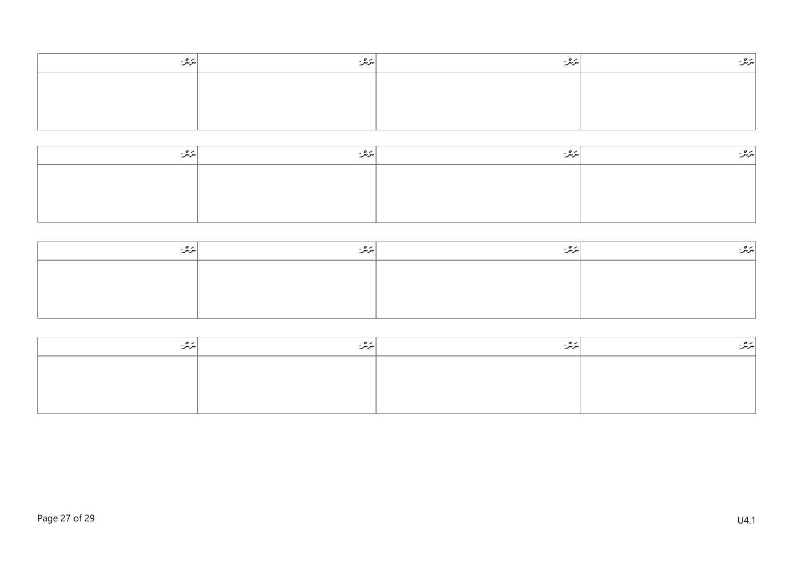| $\cdot$ | ο. | $\frac{\circ}{\cdot}$ | $\sim$<br>سرسر |
|---------|----|-----------------------|----------------|
|         |    |                       |                |
|         |    |                       |                |
|         |    |                       |                |

| يريثن | ' سرسر . |  |
|-------|----------|--|
|       |          |  |
|       |          |  |
|       |          |  |

| بر ه | 。 | $\sim$<br>َ سومس. |  |
|------|---|-------------------|--|
|      |   |                   |  |
|      |   |                   |  |
|      |   |                   |  |

| 。<br>. س | ىرىىر |  |
|----------|-------|--|
|          |       |  |
|          |       |  |
|          |       |  |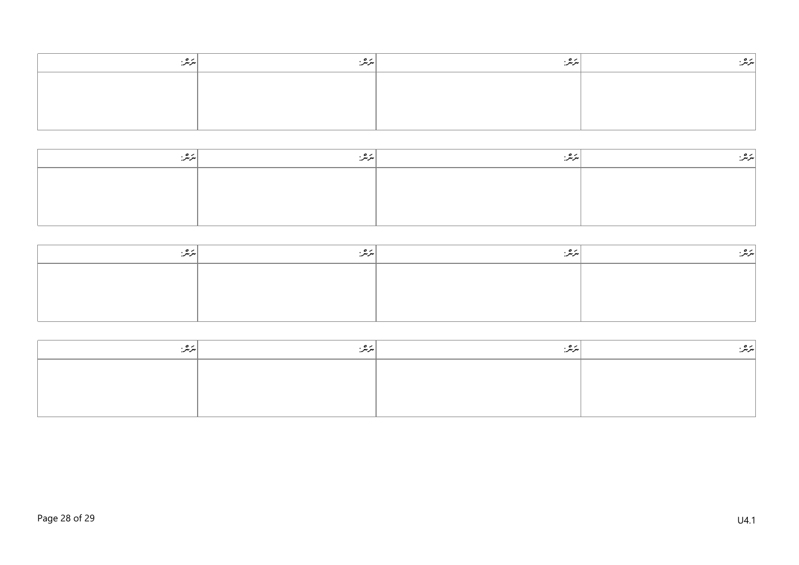| ير هو . | $\overline{\phantom{a}}$ | يرمر | لتزمثن |
|---------|--------------------------|------|--------|
|         |                          |      |        |
|         |                          |      |        |
|         |                          |      |        |

| ئىرتىر: | $\sim$<br>ا سرسر . | يئرمثر | o . |
|---------|--------------------|--------|-----|
|         |                    |        |     |
|         |                    |        |     |
|         |                    |        |     |

| 'تترنثر: | 。<br>,,,, |  |
|----------|-----------|--|
|          |           |  |
|          |           |  |
|          |           |  |

|  | . ه |
|--|-----|
|  |     |
|  |     |
|  |     |